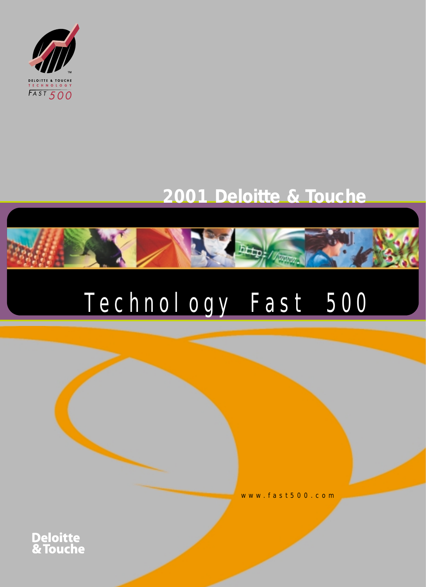

# **2001 Deloitte & Touche**

**District District Of Property** 

# Technology Fast 500

www.fast500.com

**Deloitte<br>& Touche**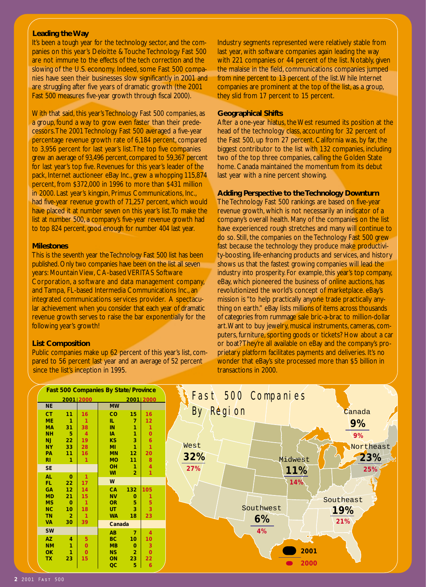#### **Leading the Way**

It's been a tough year for the technology sector, and the companies on this year's Deloitte & Touche Technology Fast 500 are not immune to the effects of the tech correction and the slowing of the U.S. economy. Indeed, some Fast 500 companies have seen their businesses slow significantly in 2001 and are struggling after five years of dramatic growth (the 2001 Fast 500 measures five-year growth through fiscal 2000).

With that said, this year's Technology Fast 500 companies, as a group, found a way to grow even faster than their predecessors.The 2001 Technology Fast 500 averaged a five-year percentage revenue growth rate of 6,184 percent, compared to 3,956 percent for last year's list.The top five companies grew an average of 93,496 percent, compared to 59,367 percent for last year's top five. Revenues for this year's leader of the pack, Internet auctioneer eBay Inc., grew a whopping 115,874 percent, from \$372,000 in 1996 to more than \$431 million in 2000. Last year's kingpin, Primus Communications, Inc., had five-year revenue growth of 71,257 percent, which would have placed it at number seven on this year's list. To make the list at number 500, a company's five-year revenue growth had to top 824 percent,good enough for number 404 last year.

#### **Milestones**

This is the seventh year the Technology Fast 500 list has been published. Only two companies have been on the list all seven years: Mountain View, CA-based VERITAS Software Corporation, a software and data management company, and Tampa, FL-based Intermedia Communications Inc., an integrated communications services provider. A spectacular achievement when you consider that each year of dramatic revenue growth serves to raise the bar exponentially for the following year's growth!

#### **List Composition**

Public companies make up 62 percent of this year's list, compared to 56 percent last year and an average of 52 percent since the list's inception in 1995.

Industry segments represented were relatively stable from last year, with software companies again leading the way with 221 companies or 44 percent of the list. Notably, given the malaise in the field, communications companies jumped from nine percent to 13 percent of the list.While Internet companies are prominent at the top of the list, as a group, they slid from 17 percent to 15 percent.

#### **Geographical Shifts**

After a one-year hiatus, the West resumed its position at the head of the technology class, accounting for 32 percent of the Fast 500, up from 27 percent. California was, by far, the biggest contributor to the list with 132 companies, including two of the top three companies, calling the Golden State home. Canada maintained the momentum from its debut last year with a nine percent showing.

#### **Adding Perspective to the Technology Downturn**

The Technology Fast 500 rankings are based on five-year revenue growth, which is not necessarily an indicator of a company's overall health. Many of the companies on the list have experienced rough stretches and many will continue to do so. Still, the companies on the Technology Fast 500 grew fast because the technology they produce make productivity-boosting, life-enhancing products and services, and history shows us that the fastest growing companies will lead the industry into prosperity. For example, this year's top company, eBay, which pioneered the business of online auctions, has revolutionized the world's concept of marketplace. eBay's mission is "to help practically anyone trade practically anything on earth." eBay lists millions of items across thousands of categories from rummage sale bric-a-brac to million-dollar art.Want to buy jewelry, musical instruments, cameras, computers, furniture, sporting goods or tickets? How about a car or boat? They're all available on eBay and the company's proprietary platform facilitates payments and deliveries. It's no wonder that eBay's site processed more than \$5 billion in transactions in 2000.

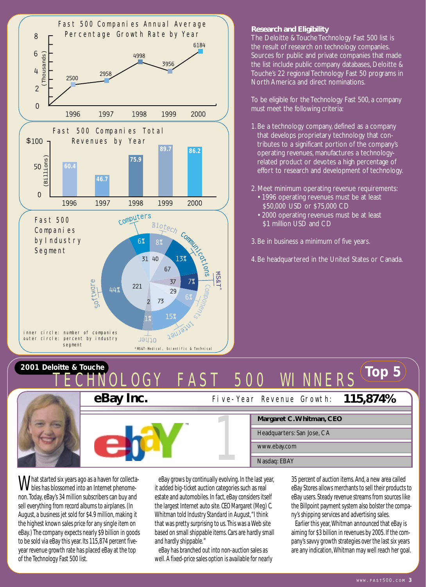

#### **Research and Eligibility**

The Deloitte & Touche Technology Fast 500 list is the result of research on technology companies. Sources for public and private companies that made the list include public company databases, Deloitte & Touche's 22 regional Technology Fast 50 programs in North America and direct nominations.

To be eligible for the Technology Fast 500, a company must meet the following criteria:

- 1.Be a technology company, defined as a company that develops proprietary technology that contributes to a significant portion of the company's operating revenues, manufactures a technologyrelated product or devotes a high percentage of effort to research and development of technology.
- 2. Meet minimum operating revenue requirements:
	- 1996 operating revenues must be at least \$50,000 USD or \$75,000 CD
	- 2000 operating revenues must be at least \$1 million USD and CD

3.Be in business a minimum of five years.

4.Be headquartered in the United States or Canada.

# **TOP 5** Touche a Touche and Top 3 *COLLANTAL CLUMAL COV* CAST EOO MILAINEDS TECHNOLOGY FAST 500 WINNERS



What started six years ago as a haven for collecta-<br>bles has blossomed into an Internet phenomenon.Today, eBay's 34 million subscribers can buy and sell everything from record albums to airplanes. (In August, a business jet sold for \$4.9 million, making it the highest known sales price for any single item on eBay.) The company expects nearly \$9 billion in goods to be sold via eBay this year. Its 115,874 percent fiveyear revenue growth rate has placed eBay at the top of the Technology Fast 500 list.

eBay grows by continually evolving. In the last year, it added big-ticket auction categories such as real estate and automobiles. In fact, eBay considers itself the largest Internet auto site. CEO Margaret (Meg) C. Whitman told *Industry Standard*in August,"I think that was pretty surprising to us.This was a Web site based on small shippable items. Cars are hardly small and hardly shippable."

eBay has branched out into non-auction sales as well. A fixed-price sales option is available for nearly 35 percent of auction items. And, a new area called eBay Stores allows merchants to sell their products to eBay users. Steady revenue streams from sources like the Billpoint payment system also bolster the company's shipping services and advertising sales.

Earlier this year,Whitman announced that eBay is aiming for \$3 billion in revenues by 2005. If the company's savvy growth strategies over the last six years are any indication,Whitman may well reach her goal.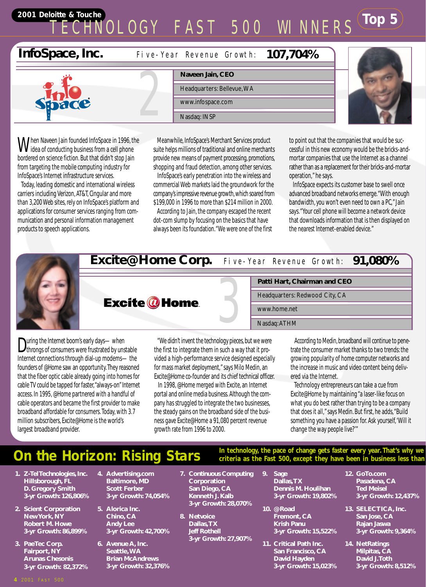# **TOP 5** Touche<br> **TECHNOLOCY EAST EOO MINNEDS** TECHNOLOGY FAST 500 WINNERS

# **InfoSpace, Inc.**

**107,704%** Five-Year Revenue Growth:



When Naveen Jain founded InfoSpace in 1996, the **V** idea of conducting business from a cell phone bordered on science fiction. But that didn't stop Jain from targeting the mobile computing industry for InfoSpace's Internet infrastructure services.

Today, leading domestic and international wireless carriers including Verizon, AT&T, Cingular and more than 3,200 Web sites, rely on InfoSpace's platform and applications for consumer services ranging from communication and personal information management products to speech applications.

**Naveen Jain, CEO** Headquarters: Bellevue,WA www.infospace.com Naveen Jain<br>
Headquarters<br>
WWW.infospac<br>
Nasdaq: INSP

Meanwhile, InfoSpace's Merchant Services product suite helps millions of traditional and online merchants provide new means of payment processing, promotions, shopping and fraud detection, among other services.

InfoSpace's early penetration into the wireless and commercial Web markets laid the groundwork for the company's impressive revenue growth,which soared from \$199,000 in 1996 to more than \$214 million in 2000.

According to Jain, the company escaped the recent dot-com slump by focusing on the basics that have always been its foundation."We were one of the first to point out that the companies that would be successful in this new economy would be the bricks-andmortar companies that use the Internet as a channel rather than as a replacement for their bricks-and-mortar operation," he says.

InfoSpace expects its customer base to swell once advanced broadband networks emerge."With enough bandwidth, you won't even need to own a PC," Jain says."Your cell phone will become a network device that downloads information that is then displayed on the nearest Internet-enabled device."



During the Internet boom's early days—when<br>throngs of consumers were frustrated by unstable Internet connections through dial-up modems—the founders of @Home saw an opportunity.They reasoned that the fiber optic cable already going into homes for cable TV could be tapped for faster,"always-on" Internet access. In 1995, @Home partnered with a handful of cable operators and became the first provider to make broadband affordable for consumers.Today, with 3.7 million subscribers, Excite@Home is the world's largest broadband provider.

"We didn't invent the technology pieces, but we were the first to integrate them in such a way that it provided a high-performance service designed especially for mass market deployment," says Milo Medin, an Excite@Home co-founder and its chief technical officer.

In 1998, @Home merged with Excite, an Internet portal and online media business. Although the company has struggled to integrate the two businesses, the steady gains on the broadband side of the business gave Excite@Home a 91,080 percent revenue growth rate from 1996 to 2000.

According to Medin, broadband will continue to penetrate the consumer market thanks to two trends: the growing popularity of home computer networks and the increase in music and video content being delivered via the Internet.

Technology entrepreneurs can take a cue from Excite@Home by maintaining "a laser-like focus on what you do best rather than trying to be a company that does it all," says Medin. But first, he adds,"Build something you have a passion for. Ask yourself,'Will it change the way people live?'"

# **On the Horizon: Rising Stars In technology**, the pace of change gets faster every year. That's why we criteria as the Fast 500, except they have been in business less than

- **1. Z-Tel Technologies, Inc. Hillsborough, FL D. Gregory Smith 3-yr Growth: 126,806%**
- **2. Scient Corporation New York, NY Robert M. Howe 3-yr Growth: 86,899%**
- **3. PaeTec Corp. Fairport, NY Arunas Chesonis 3-yr Growth: 82,372%**
- **4. Advertising.com Baltimore, MD Scott Ferber 3-yr Growth: 74,054%**
- **5. Alorica Inc. Chino, CA Andy Lee 3-yr Growth: 42,700%**
- **6. Avenue A, Inc. Seattle,WA Brian McAndrews 3-yr Growth: 32,376%**
- **7. Continuous Computing Corporation San Diego, CA Kenneth J. Kalb 3-yr Growth: 28,070%**
- **8. Netvoice Dallas,TX Jeff Rothell 3-yr Growth: 27,907%**
- **9. Sage Dallas,TX Dennis M. Houlihan 3-yr Growth: 19,802%**

**criteria as the Fast 500, except they have been in business less than** 

- **10. @Road Fremont, CA Krish Panu 3-yr Growth: 15,522%**
- **11. Critical Path Inc. San Francisco, CA David Hayden 3-yr Growth: 15,023%**
- **12. GoTo.com Pasadena, CA Ted Meisel 3-yr Growth: 12,437%**
- **13. SELECTICA, Inc. San Jose, CA Rajan Jaswa 3-yr Growth: 9,364%**
- **14. NetRatings Milpitas, CA David J.Toth 3-yr Growth: 8,512%**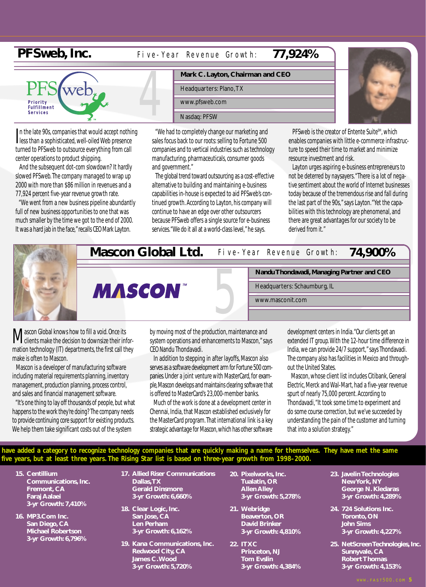# **PFSweb, Inc.**

#### **77,924%** Five-Year Revenue Growth:



I n the late 90s, companies that would accept nothing less than a sophisticated, well-oiled Web presence turned to PFSweb to outsource everything from call center operations to product shipping.

And the subsequent dot-com slowdown? It hardly slowed PFSweb.The company managed to wrap up 2000 with more than \$86 million in revenues and a 77,924 percent five-year revenue growth rate.

"We went from a new business pipeline abundantly full of new business opportunities to one that was much smaller by the time we got to the end of 2000. It was a hard jab in the face," recalls CEO Mark Layton.

|  | Mark C. Layton, Chairman and CEO               |                            |  |  |  |  |  |  |
|--|------------------------------------------------|----------------------------|--|--|--|--|--|--|
|  | Headquarters: Plano, TX                        |                            |  |  |  |  |  |  |
|  | www.pfsweb.com                                 |                            |  |  |  |  |  |  |
|  | Nasdag: PFSW                                   |                            |  |  |  |  |  |  |
|  | "We had to completely change our marketing and | <b>DEC</b> <sub>1816</sub> |  |  |  |  |  |  |

"We had to completely change our marketing and sales focus back to our roots: selling to Fortune 500 companies and to vertical industries such as technology manufacturing, pharmaceuticals, consumer goods and government."

The global trend toward outsourcing as a cost-effective alternative to building and maintaining e-business capabilities in-house is expected to aid PFSweb's continued growth. According to Layton, his company will continue to have an edge over other outsourcers because PFSweb offers a single source for e-business services."We do it all at a world-class level," he says.



PFSweb is the creator of Entente Suite<sup>SM</sup>, which enables companies with little e-commerce infrastructure to speed their time to market and minimize resource investment and risk.

Layton urges aspiring e-business entrepreneurs to not be deterred by naysayers."There is a lot of negative sentiment about the world of Internet businesses today because of the tremendous rise and fall during the last part of the 90s," says Layton."Yet the capabilities with this technology are phenomenal, and there are great advantages for our society to be derived from it."

**74,900%**



**Nandu Thondavadi, Managing Partner and CEO** 5

Five-Year Revenue Growth:

Headquarters: Schaumburg, IL

www.masconit.com

**Mascon Global knows how to fill a void. Once its**<br>clients make the decision to downsize their information technology (IT) departments, the first call they make is often to Mascon.

Mascon is a developer of manufacturing software including material requirements planning, inventory management, production planning, process control, and sales and financial management software.

"It's one thing to lay off thousands of people, but what happens to the work they're doing? The company needs to provide continuing core support for existing products. We help them take significant costs out of the system

by moving most of the production, maintenance and system operations and enhancements to Mascon," says CEO Nandu Thondavadi.

In addition to stepping in after layoffs, Mascon also serves as a software development arm for Fortune 500 companies.Under a joint venture with MasterCard, for example,Mascon develops and maintains clearing software that is offered to MasterCard's 23,000-member banks.

Much of the work is done at a development center in Chennai, India, that Mascon established exclusively for the MasterCard program.That international link is a key strategic advantage for Mascon,which has other software

development centers in India."Our clients get an extended IT group.With the 12-hour time difference in India, we can provide 24/7 support," says Thondavadi. The company also has facilities in Mexico and throughout the United States.

Mascon, whose client list includes Citibank, General Electric, Merck and Wal-Mart, had a five-year revenue spurt of nearly 75,000 percent. According to Thondavadi,"It took some time to experiment and do some course correction, but we've succeeded by understanding the pain of the customer and turning that into a solution strategy."

**have added a category to recognize technology companies that are quickly making a name for themselves. They have met the same five years, but at least three years. The Rising Star list is based on three-year growth from 1998–2000.**

- **15. Centillium Communications, Inc. Fremont, CA Faraj Aalaei 3-yr Growth: 7,410%**
- **16. MP3.Com Inc. San Diego, CA Michael Robertson 3-yr Growth: 6,796%**
- **17. Allied Riser Communications Dallas,TX Gerald Dinsmore 3-yr Growth: 6,660%**
- **18. Clear Logic, Inc. San Jose, CA Len Perham 3-yr Growth: 6,162%**
- **19. Kana Communications, Inc. Redwood City, CA James C.Wood 3-yr Growth: 5,720%**
- **20. Pixelworks, Inc. Tualatin, OR Allen Alley 3-yr Growth: 5,278%**
- **21. Webridge Beaverton, OR David Brinker 3-yr Growth: 4,810%**
- **22. ITXC Princeton, NJ Tom Evslin 3-yr Growth: 4,384%**
- **23. Javelin Technologies New York, NY George N. Kledaras 3-yr Growth: 4,289%**
- **24. 724 Solutions Inc. Toronto, ON John Sims 3-yr Growth: 4,227%**
- **25. NetScreen Technologies, Inc. Sunnyvale, CA Robert Thomas 3-yr Growth: 4,153%**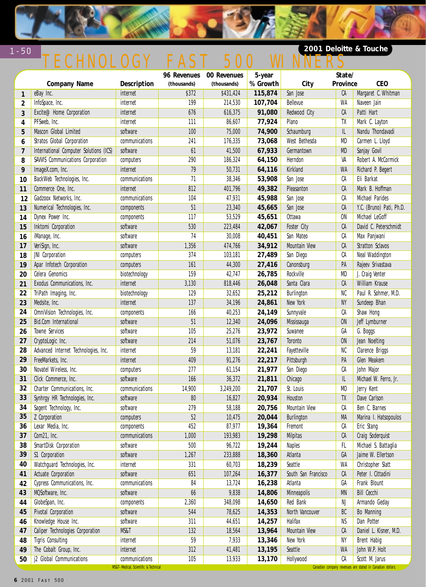

# TECHNOLOGY FAST 500 WINNERS

### **2001 Deloitte & Touche**

|                |                                        |                                                        |             | 96 Revenues 00 Revenues | 5-year   |                      | State/         |                                                                             |
|----------------|----------------------------------------|--------------------------------------------------------|-------------|-------------------------|----------|----------------------|----------------|-----------------------------------------------------------------------------|
|                | <b>Company Name</b>                    | Description                                            | (thousands) | (thousands)             | % Growth | City                 | Province       | <b>CEO</b>                                                                  |
| $\mathbf{1}$   | eBay Inc.                              | internet                                               | \$372       | \$431,424               | 115,874  | San Jose             | CA             | Margaret C. Whitman                                                         |
| $\mathbf{2}$   | InfoSpace, Inc.                        | internet                                               | 199         | 214,530                 | 107,704  | Bellevue             | WA             | Naveen Jain                                                                 |
| 3              | Excite@Home Corporation                | internet                                               | 676         | 616,375                 | 91,080   | Redwood City         | CA             | Patti Hart                                                                  |
| 4              | PFSweb, Inc.                           | internet                                               | 111         | 86,607                  | 77,924   | Plano                | TX             | Mark C. Layton                                                              |
| 5              | Mascon Global Limited                  | software                                               | 100         | 75,000                  | 74,900   | Schaumburg           | IL             | Nandu Thondavadi                                                            |
| 6              | Stratos Global Corporation             | communications                                         | 241         | 176,335                 | 73,068   | West Bethesda        | MD             | Carmen L. Lloyd                                                             |
| $\overline{7}$ | International Computer Solutions (ICS) | software                                               | 61          | 41,500                  | 67,933   | Germantown           | <b>MD</b>      | Sanjay Govil                                                                |
| 8              | SAWIS Communications Corporation       | computers                                              | 290         | 186,324                 | 64,150   | Herndon              | VA             | Robert A. McCormick                                                         |
| 9              | ImageX.com, Inc.                       | internet                                               | 79          | 50,731                  | 64,116   | Kirkland             | WA             | Richard P. Begert                                                           |
| 10             | BackWeb Technologies, Inc.             | communications                                         | 71          | 38,346                  | 53,908   | San Jose             | СA             | Eli Barkat                                                                  |
| 11             | Commerce One, Inc.                     | internet                                               | 812         | 401,796                 | 49,382   | Pleasanton           | CA             | Mark B. Hoffman                                                             |
| 12             | Gadzoox Networks, Inc.                 | communications                                         | 104         | 47,931                  | 45,988   | San Jose             | СA             | Michael Parides                                                             |
| 13             | Numerical Technologies, Inc.           | components                                             | 51          | 23,340                  | 45,665   | San Jose             | CA             | Y.C. (Bruno) Pati, Ph.D.                                                    |
| 14             | Dynex Power Inc.                       | components                                             | 117         | 53,529                  | 45,651   | Ottawa               | <b>ON</b>      | Michael LeGoff                                                              |
| 15             | Inktomi Corporation                    | software                                               | 530         | 223,484                 | 42,067   | Foster City          | CA             | David C. Peterschmidt                                                       |
| 16             | iManage, Inc.                          | software                                               | 74          | 30,008                  | 40,451   | San Mateo            | СA             | Max Panjwani                                                                |
| 17             | VeriSign, Inc.                         | software                                               | 1,356       | 474,766                 | 34,912   | <b>Mountain View</b> | CA             | Stratton Sclavos                                                            |
| 18             | JNI Corporation                        | computers                                              | 374         | 103,181                 | 27,489   | San Diego            | СA             | Neal Waddington                                                             |
| 19             | Apar Infotech Corporation              | computers                                              | 161         | 44,300                  | 27,416   | Canonsburg           | PA             | Rajeev Srivastava                                                           |
| 20             | Celera Genomics                        | biotechnology                                          | 159         | 42,747                  | 26,785   | Rockville            | MD             | J. Craig Venter                                                             |
| 21             | Exodus Communications, Inc.            | internet                                               | 3,130       | 818,446                 | 26,048   | Santa Clara          | CA             | William Krause                                                              |
| 22             | TriPath Imaging, Inc.                  | biotechnology                                          | 129         | 32,652                  | 25,212   | Burlington           | NC             | Paul R. Sohmer, M.D.                                                        |
| 23             | Medsite, Inc.                          | internet                                               | 137         | 34,196                  | 24,861   | New York             | <b>NY</b>      | Sundeep Bhan                                                                |
| 24             | OmniVision Technologies, Inc.          | components                                             | 166         | 40,253                  | 24,149   | Sunnyvale            | СA             | Shaw Hong                                                                   |
| 25             | Bid.Com International                  | software                                               | 51          | 12,340                  | 24,096   | Mississauga          | <b>ON</b>      | Jeff Lymburner                                                              |
| 26             | Towne Services                         | software                                               | 105         | 25,276                  | 23,972   | Suwanee              | GA             | G. Boggs                                                                    |
| 27             | CryptoLogic Inc.                       | software                                               | 214         | 51,076                  | 23,767   | Toronto              | <b>ON</b>      | Jean Noelting                                                               |
| 28             | Advanced Internet Technologies, Inc.   | internet                                               | 59          | 13,181                  | 22,241   | Fayetteville         | NC             | Clarence Briggs                                                             |
| 29             | FreeMarkets, Inc.                      | internet                                               | 409         | 91,276                  | 22,217   | Pittsburgh           | PA             | Glen Meakem                                                                 |
| 30             | Novatel Wireless, Inc.                 | computers                                              | 277         | 61,154                  | 21,977   | San Diego            | CA             | John Major                                                                  |
| 31             | Click Commerce, Inc.                   | software                                               | 166         | 36,372                  | 21,811   | Chicago              | IL             | Michael W. Ferro, Jr.                                                       |
| 32             | Charter Communications, Inc.           | communications                                         | 14,900      | 3,249,200               | 21,707   | St. Louis            | M <sub>0</sub> | Jerry Kent                                                                  |
| 33             | Synhrgy HR Technologies, Inc.          | software                                               | 80          | 16,827                  | 20,934   | Houston              | TX             | Dave Carlson                                                                |
| 34             | Sagent Technology, Inc.                | software                                               | 279         | 58,188                  | 20,756   | <b>Mountain View</b> | СA             | Ben C. Barnes                                                               |
|                | 35 Z Corporation                       | computers                                              | $52\,$      | 10,475                  | 20,044   | Burlington           | MA             | Marina I. Hatsopoulos                                                       |
| 36             | Lexar Media, Inc.                      | components                                             | 452         | 87,977                  | 19,364   | Fremont              | СA             | Eric Stang                                                                  |
| 37             | Com21, Inc.                            | communications                                         | 1,000       | 193,983                 | 19,298   | Milpitas             | CA             | Craig Soderquist                                                            |
| 38             | SmartDisk Corporation                  | software                                               | 500         | 96,722                  | 19,244   | <b>Naples</b>        | FL.            | Michael S. Battaglia                                                        |
| 39             | \$1 Corporation                        | software                                               | 1,267       | 233,888                 | 18,360   | Atlanta              | GA             | Jaime W. Ellertson                                                          |
| 40             | Watchguard Technologies, Inc.          | internet                                               | 331         | 60,703                  | 18,239   | Seattle              | WA             | Christopher Slatt                                                           |
| 41             | Actuate Corporation                    | software                                               | 651         | 107,264                 | 16,377   | South San Francisco  | CA             | Peter I. Cittadini                                                          |
| 42             | Cypress Communications, Inc.           | communications                                         | 84          | 13,724                  | 16,238   | Atlanta              | GA             | Frank Blount                                                                |
| 43             | MQSoftware, Inc.                       | software                                               | 66          | 9,838                   | 14,806   | Minneapolis          | <b>MN</b>      | <b>Bill Cecchi</b>                                                          |
| 44             | GlobeSpan, Inc.                        | components                                             | 2,360       | 348,098                 | 14,650   | Red Bank             | NJ             | Armando Geday                                                               |
| 45             | <b>Pivotal Corporation</b>             | software                                               | 544         | 78,625                  | 14,353   | North Vancouver      | BC             | Bo Manning                                                                  |
| 46             | Knowledge House Inc.                   | software                                               | 311         | 44,651                  | 14,257   | Halifax              | NS             | Dan Potter                                                                  |
| 47             | Caliper Technologies Corporation       | MS&T                                                   | 132         | 18,564                  | 13,964   | <b>Mountain View</b> | CA             | Daniel L. Kisner, M.D.                                                      |
| 48             | <b>Tigris Consulting</b>               | internet                                               | 59          | 7,933                   | 13,346   | New York             | <b>NY</b>      | Brent Habig                                                                 |
| 49             | The Cobalt Group, Inc.                 | internet                                               | 312         | 41,481                  | 13,195   | Seattle              | WA             | John W.P. Holt                                                              |
| 50             | j2 Global Communications               | communications<br>MS&T-Medical, Scientific & Technical | 105         | 13,933                  | 13,170   | Hollywood            | СA             | Scott M. Jarus<br>Canadian company revenues are stated in Canadian dollars. |

1-50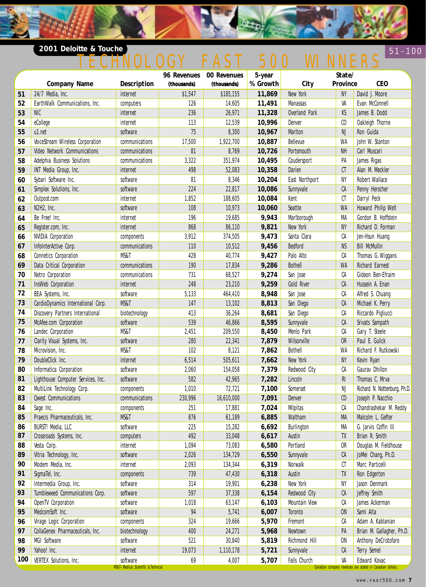#### **2001 Deloitte & Touche 51-100**  $51 - 100$ <u>TECHNOLOGY FAST 500 WINNERS</u>

**Detp** 

|     |                                    |                                                  | 96 Revenues | 00 Revenues | 5-year   |                | State/         |                                                                           |
|-----|------------------------------------|--------------------------------------------------|-------------|-------------|----------|----------------|----------------|---------------------------------------------------------------------------|
|     | <b>Company Name</b>                | Description                                      | (thousands) | (thousands) | % Growth | City           | Province       | <b>CEO</b>                                                                |
| 51  | 24/7 Media, Inc.                   | internet                                         | \$1,547     | \$185,155   | 11,869   | New York       | <b>NY</b>      | David J. Moore                                                            |
| 52  | EarthWalk Communications, Inc.     | computers                                        | 126         | 14,605      | 11,491   | Manassas       | VA             | Evan McConnell                                                            |
| 53  | <b>NIC</b>                         | internet                                         | 236         | 26,971      | 11,328   | Overland Park  | KS             | James B. Dodd                                                             |
| 54  | eCollege                           | internet                                         | 113         | 12,539      | 10,996   | Denver         | C <sub>0</sub> | Oakleigh Thorne                                                           |
| 55  | u1.net                             | software                                         | 75          | 8,300       | 10,967   | Marlton        | $\mathsf{NJ}$  | Ron Guida                                                                 |
| 56  | VoiceStream Wireless Corporation   | communications                                   | 17,500      | 1,922,700   | 10,887   | Bellevue       | WA             | John W. Stanton                                                           |
| 57  | Video Network Communications       | communications                                   | 81          | 8,769       | 10,726   | Portsmouth     | <b>NH</b>      | Carl Muscari                                                              |
| 58  | Adelphia Business Solutions        | communications                                   | 3,322       | 351,974     | 10,495   | Coudersport    | PA             | James Rigas                                                               |
| 59  | INT Media Group, Inc.              | internet                                         | 498         | 52,083      | 10,358   | Darien         | C1             | Alan M. Meckler                                                           |
| 60  | Sybari Software Inc.               | software                                         | 81          | 8,346       | 10,204   | East Northport | NY             | Robert Wallace                                                            |
| 61  | Simplex Solutions, Inc.            | software                                         | 224         | 22,817      | 10,086   | Sunnyvale      | CA             | Penny Herscher                                                            |
| 62  | Outpost.com                        | internet                                         | 1,852       | 188,605     | 10,084   | Kent           | CT             | Darryl Peck                                                               |
| 63  | N2H2, Inc.                         | software                                         | 108         | 10,973      | 10,060   | Seattle        | <b>WA</b>      | Howard Philip Welt                                                        |
| 64  | Be Free! Inc.                      | internet                                         | 196         | 19,685      | 9,943    | Marlborough    | MA             | Gordon B. Hoffstein                                                       |
| 65  | Register.com, Inc.                 | internet                                         | 868         | 86,110      | 9,821    | New York       | <b>NY</b>      | Richard D. Forman                                                         |
| 66  | <b>NVIDIA Corporation</b>          | components                                       | 3,912       | 374,505     | 9,473    | Santa Clara    | СA             | Jen-Hsun Huang                                                            |
| 67  | InfoInterActive Corp.              | communications                                   | 110         | 10,512      | 9,456    | Bedford        | <b>NS</b>      | <b>Bill McMullin</b>                                                      |
| 68  | <b>Connetics Corporation</b>       | MS&T                                             | 428         | 40,774      | 9,427    | Palo Alto      | СA             | Thomas G. Wiggans                                                         |
| 69  | Data Critical Corporation          | communications                                   | 190         | 17,834      | 9,286    | <b>Bothell</b> | <b>WA</b>      | Richard Earnest                                                           |
| 70  | Netro Corporation                  | communications                                   | 731         | 68,527      | 9,274    | San Jose       | СA             | Gideon Ben-Efraim                                                         |
| 71  | InsWeb Corporation                 | internet                                         | 248         | 23,210      | 9,259    | Gold River     | CA             | Hussein A. Enan                                                           |
| 72  | BEA Systems, Inc.                  | software                                         | 5,133       | 464,410     | 8,948    | San Jose       | СA             | Alfred S. Chuang                                                          |
| 73  | CardioDynamics International Corp. | MS&T                                             | 147         | 13,102      | 8,813    | San Diego      | CA             | Michael K. Perry                                                          |
| 74  | Discovery Partners International   | biotechnology                                    | 413         | 36,264      | 8,681    | San Diego      | СA             | Riccardo Pigliucci                                                        |
| 75  | McAfee.com Corporation             | software                                         | 539         | 46,866      | 8,595    | Sunnyvale      | CA             | Srivats Sampath                                                           |
| 76  | Landec Corporation                 | MS&T                                             | 2,451       | 209,550     | 8,450    | Menlo Park     | СA             | Gary T. Steele                                                            |
| 77  | Clarity Visual Systems, Inc.       | software                                         | 280         | 22,341      | 7,879    | Wilsonville    | <b>OR</b>      | Paul E. Gulick                                                            |
| 78  | Microvision, Inc.                  | MS&T                                             | 102         | 8,121       | 7,862    | <b>Bothell</b> | WA             | Richard F. Rutkowski                                                      |
| 79  | DoubleClick Inc.                   | internet                                         | 6,514       | 505,611     | 7,662    | New York       | <b>NY</b>      | Kevin Ryan                                                                |
| 80  | Informatica Corporation            | software                                         | 2,060       | 154,058     | 7,379    | Redwood City   | СA             | Gaurav Dhillon                                                            |
| 81  | Lighthouse Computer Services, Inc. | software                                         | 582         | 42,965      | 7,282    | Lincoln        | RI             | Thomas C. Mrva                                                            |
| 82  | MultiLink Technology Corp.         | components                                       | 1,010       | 72,721      | 7,100    | Somerset       | NJ             | Richard N. Nottenburg, Ph.D.                                              |
| 83  | <b>Qwest Communications</b>        | communications                                   | 230,996     | 16,610,000  | 7,091    | Denver         | C <sub>0</sub> | Joseph P. Nacchio                                                         |
| 84  | Sage Inc.                          | components                                       | 251         | 17,881      | 7,024    | Milpitas       | СA             | Chandrashekar M. Reddy                                                    |
| 85  | Praecis Pharmaceuticals, Inc.      | MS&T                                             | 876         | 61,189      | 6,885    | Waltham        | MA             | Malcolm L. Gefter                                                         |
| 86  | BURST! Media, LLC                  | software                                         | 225         | 15,282      | 6,692    | Burlington     | МA             | G. Jarvis Coffin III                                                      |
| 87  | Crossroads Systems, Inc.           | computers                                        | 492         | 33,048      | 6,617    | Austin         | TX             | Brian R. Smith                                                            |
| 88  | Vesta Corp.                        | internet                                         | 1,094       | 73,083      | 6,580    | Portland       | 0R             | Douglas M. Fieldhouse                                                     |
| 89  | Vitria Technology, Inc.            | software                                         | 2,026       | 134,729     | 6,550    | Sunnyvale      | CA             | JoMei Chang, Ph.D.                                                        |
| 90  | Modem Media, Inc.                  | internet                                         | 2,093       | 134,344     | 6,319    | Norwalk        | CT             | Marc Particelli                                                           |
| 91  | SigmaTel, Inc.                     | components                                       | 739         | 47,430      | 6,318    | Austin         | TX             | Ron Edgerton                                                              |
| 92  | Intermedia Group, Inc.             | software                                         | 314         | 19,901      | 6,238    | New York       | NY             | Jason Denmark                                                             |
| 93  | Tumbleweed Communications Corp.    | software                                         | 597         | 37,338      | 6,154    | Redwood City   | CA             | Jeffrey Smith                                                             |
| 94  | OpenTV Corporation                 | software                                         | 1,018       | 63,147      | 6,103    | Mountain View  | СA             | James Ackerman                                                            |
| 95  | MedcomSoft Inc.                    | software                                         | 94          | 5,741       | 6,007    | Toronto        | <b>ON</b>      | Sami Aita                                                                 |
| 96  | Virage Logic Corporation           | components                                       | 324         | 19,666      | 5,970    | Fremont        | СA             | Adam A. Kablanian                                                         |
| 97  | CollaGenex Pharmaceuticals, Inc.   | biotechnology                                    | 400         | 24,271      | 5,968    | Newtown        | PA             | Brian M. Gallagher, Ph.D.                                                 |
| 98  | MGI Software                       | software                                         | 521         | 30,840      | 5,819    | Richmond Hill  | 0N             | Anthony DeCristofaro                                                      |
| 99  | Yahoo! Inc.                        | internet                                         | 19,073      | 1,110,178   | 5,721    | Sunnyvale      | CA             | Terry Semel                                                               |
| 100 | VERTEX Solutions, Inc.             | software<br>MS&T-Medical, Scientific & Technical | 69          | 4,007       | 5,707    | Falls Church   | VA             | Edward Kovac<br>Canadian company revenues are stated in Canadian dollars. |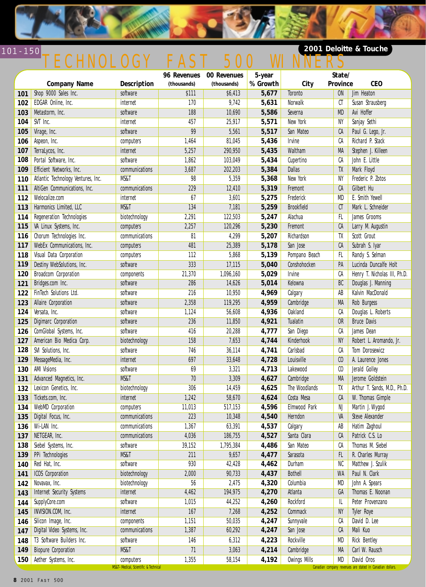

# 101-150 TECHNOLOGY FAST 500 WINNERS

### **2001 Deloitte & Touche**

|     |                                    |                                                                  | 96 Revenues | 00 Revenues | 5-year   |                     | State/           |                                                                         |
|-----|------------------------------------|------------------------------------------------------------------|-------------|-------------|----------|---------------------|------------------|-------------------------------------------------------------------------|
|     | <b>Company Name</b>                | Description                                                      | (thousands) | (thousands) | % Growth | City                | Province         | <b>CEO</b>                                                              |
| 101 | Shop 9000 Sales Inc.               | software                                                         | \$111       | \$6,413     | 5,677    | Toronto             | <b>ON</b>        | Jim Heaton                                                              |
| 102 | EDGAR Online, Inc.                 | internet                                                         | 170         | 9,742       | 5,631    | Norwalk             | CT               | Susan Strausberg                                                        |
| 103 | Metastorm, Inc.                    | software                                                         | 188         | 10,690      | 5,586    | Severna             | <b>MD</b>        | Avi Hoffer                                                              |
| 104 | SVT Inc.                           | internet                                                         | 457         | 25,917      | 5,571    | New York            | NY               | Sanjay Sethi                                                            |
| 105 | Virage, Inc.                       | software                                                         | 99          | 5,561       | 5,517    | San Mateo           | CA               | Paul G. Lego, Jr.                                                       |
| 106 | Aspeon, Inc.                       | computers                                                        | 1,464       | 81,045      | 5,436    | Irvine              | СA               | Richard P. Stack                                                        |
| 107 | TerraLycos, Inc.                   | internet                                                         | 5,257       | 290,950     | 5,435    | Waltham             | <b>MA</b>        | Stephen J. Killeen                                                      |
| 108 | Portal Software, Inc.              | software                                                         | 1,862       | 103,049     | 5,434    | Cupertino           | СA               | John E. Little                                                          |
| 109 | Efficient Networks, Inc.           | communications                                                   | 3,687       | 202,203     | 5,384    | <b>Dallas</b>       | TX               | Mark Floyd                                                              |
| 110 | Atlantic Technology Ventures, Inc. | <b>MS&amp;T</b>                                                  | 98          | 5,359       | 5,368    | New York            | NY               | Frederic P. Zotos                                                       |
| 111 | AltiGen Communications, Inc.       | communications                                                   | 229         | 12,410      | 5,319    | Fremont             | CA               | Gilbert Hu                                                              |
| 112 | Welocalize.com                     | internet                                                         | 67          | 3,601       | 5,275    | Frederick           | MD               | E. Smith Yewell                                                         |
| 113 | Harmonics Limited, LLC             | MS&T                                                             | 134         | 7,181       | 5,259    | <b>Brookfield</b>   | CT               | Mark L. Schneider                                                       |
| 114 | Regeneration Technologies          | biotechnology                                                    | 2,291       | 122,503     | 5,247    | Alachua             | <b>FL</b>        | James Grooms                                                            |
| 115 | VA Linux Systems, Inc.             | computers                                                        | 2,257       | 120,296     | 5,230    | Fremont             | CA               | Larry M. Augustin                                                       |
| 116 | Chorum Technologies Inc.           | communications                                                   | 81          | 4,299       | 5,207    | Richardson          | TX               | Scott Grout                                                             |
| 117 | WebEx Communications, Inc.         | computers                                                        | 481         | 25,389      | 5,178    | San Jose            | CA               | Subrah S. Iyar                                                          |
| 118 | Visual Data Corporation            | computers                                                        | 112         | 5,868       | 5,139    | Pompano Beach       | FL               | Randy S. Selman                                                         |
| 119 | Destiny WebSolutions, Inc.         | software                                                         | 333         | 17,115      | 5,040    | Conshohocken        | PA               | Lucinda Duncalfe Holt                                                   |
| 120 | Broadcom Corporation               | components                                                       | 21,370      | 1,096,160   | 5,029    | Irvine              | СA               | Henry T. Nicholas III, Ph.D.                                            |
| 121 | Bridges.com Inc.                   | software                                                         | 286         | 14,626      | 5,014    | Kelowna             | BC               | Douglas J. Manning                                                      |
| 122 | FinTech Solutions Ltd.             | software                                                         | 216         | 10,950      | 4,969    | Calgary             | AB               | Kalvin MacDonald                                                        |
| 123 | Allaire Corporation                | software                                                         | 2,358       | 119,295     | 4,959    | Cambridge           | MA               | Rob Burgess                                                             |
| 124 | Versata, Inc.                      | software                                                         | 1,124       | 56,608      | 4,936    | <b>Oakland</b>      | СA               | Douglas L. Roberts                                                      |
| 125 | Digimarc Corporation               | software                                                         | 236         | 11,850      | 4,921    | Tualatin            | <b>OR</b>        | <b>Bruce Davis</b>                                                      |
| 126 | ComGlobal Systems, Inc.            | software                                                         | 416         | 20,288      | 4,777    | San Diego           | СA               | James Dean                                                              |
| 127 | American Bio Medica Corp.          | biotechnology                                                    | 158         | 7,653       | 4,744    | Kinderhook          | NY               | Robert L. Aromando, Jr.                                                 |
| 128 | SVI Solutions, Inc.                | software                                                         | 746         | 36,114      | 4,741    | Carlsbad            | СA               | Tom Dorosewicz                                                          |
| 129 | MessageMedia, Inc.                 | internet                                                         | 697         | 33,648      | 4,728    | Louisville          | C <sub>0</sub>   | A. Laurence Jones                                                       |
| 130 | <b>AMI Visions</b>                 | software                                                         | 69          | 3,321       | 4,713    | Lakewood            | $\mathfrak{c}_0$ | Jerald Golley                                                           |
| 131 | Advanced Magnetics, Inc.           | MS&T                                                             | 70          | 3,309       | 4,627    | Cambridge           | <b>MA</b>        | Jerome Goldstein                                                        |
| 132 | Lexicon Genetics, Inc.             | biotechnology                                                    | 306         | 14,459      | 4,625    | The Woodlands       | TX               | Arthur T. Sands, M.D., Ph.D.                                            |
| 133 | Tickets.com, Inc.                  | internet                                                         | 1,242       | 58,670      | 4,624    | Costa Mesa          | CA               | W. Thomas Gimple                                                        |
| 134 | WebMD Corporation                  | computers                                                        | 11,013      | 517,153     | 4,596    | Elmwood Park        | NJ               | Martin J. Wygod                                                         |
|     | 135 Digital Focus, Inc.            | communications                                                   | 223         | 10,348      | 4,540    | Herndon             | VA               | Steve Alexander                                                         |
| 136 | Wi-LAN Inc.                        | communications                                                   | 1,367       | 63,391      | 4,537    | Calgary             | AB               | Hatim Zaghoul                                                           |
| 137 | NETGEAR, Inc.                      | communications                                                   | 4,036       | 186,755     | 4,527    | Santa Clara         | CA               | Patrick C.S. Lo                                                         |
| 138 | Siebel Systems, Inc.               | software                                                         | 39,152      | 1,795,384   | 4,486    | San Mateo           | CA               | Thomas M. Siebel                                                        |
| 139 | PPi Technologies                   | MS&T                                                             | 211         | 9,657       | 4,477    | Sarasota            | FL               | R. Charles Murray                                                       |
| 140 | Red Hat, Inc.                      | software                                                         | 930         | 42,428      | 4,462    | Durham              | NC               | Matthew J. Szulik                                                       |
| 141 | <b>ICOS Corporation</b>            | biotechnology                                                    | 2,000       | 90,733      | 4,437    | <b>Bothell</b>      | <b>WA</b>        | Paul N. Clark                                                           |
| 142 | Novavax, Inc.                      | biotechnology                                                    | 56          | 2,475       | 4,320    | Columbia            | MD               | John A. Spears                                                          |
| 143 | Internet Security Systems          | internet                                                         | 4,462       | 194,975     | 4,270    | Atlanta             | GA               | Thomas E. Noonan                                                        |
| 144 | SupplyCore.com                     | software                                                         | 1,015       | 44,252      | 4,260    | Rockford            | IL               | Peter Provenzano                                                        |
| 145 | INVISION.COM, Inc.                 | internet                                                         | 167         | 7,268       | 4,252    | Commack             | <b>NY</b>        | Tyler Roye                                                              |
| 146 | Silicon Image, Inc.                | components                                                       | 1,151       | 50,035      | 4,247    | Sunnyvale           | CA               | David D. Lee                                                            |
| 147 | Digital Video Systems, Inc.        | communications                                                   | 1,387       | 60,292      | 4,247    | San Jose            | CA               | Mali Kuo                                                                |
| 148 | T3 Software Builders Inc.          | software                                                         | 146         | 6,312       | 4,223    | Rockville           | MD               | <b>Rick Bentley</b>                                                     |
| 149 | <b>Biopure Corporation</b>         | MS&T                                                             | 71          | 3,063       | 4,214    | Cambridge           | MA               | Carl W. Rausch                                                          |
| 150 | Aether Systems, Inc.               | computers<br><b>MS&amp;T-Medical, Scientific &amp; Technical</b> | 1,355       | 58,154      | 4,192    | <b>Owings Mills</b> | MD               | David Oros<br>Canadian company revenues are stated in Canadian dollars. |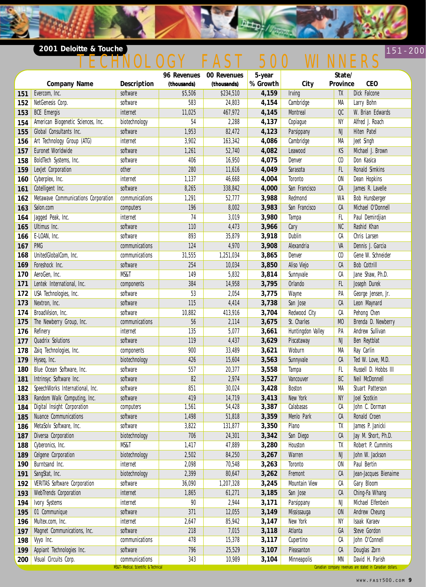### **2001 Deloitte & Touche**

# 151-200 NOLOGY FAST 500 WINNERS

 $D_{\overline{A}}\overline{A_{\overline{B}}},$ 

|     |                                     |                                                                       |             | 96 Revenues 00 Revenues | 5-year   | State/               |                |                                                                              |
|-----|-------------------------------------|-----------------------------------------------------------------------|-------------|-------------------------|----------|----------------------|----------------|------------------------------------------------------------------------------|
|     | <b>Company Name</b>                 | Description                                                           | (thousands) | (thousands)             | % Growth | City                 | Province       | <b>CEO</b>                                                                   |
| 151 | Evercom, Inc.                       | software                                                              | \$5,506     | \$234,510               | 4,159    | <b>Irving</b>        | TX             | Dick Falcone                                                                 |
| 152 | NetGenesis Corp.                    | software                                                              | 583         | 24,803                  | 4,154    | Cambridge            | MA             | Larry Bohn                                                                   |
| 153 | <b>BCE</b> Emergis                  | internet                                                              | 11,025      | 467,972                 | 4,145    | <b>Montreal</b>      | OC             | W. Brian Edwards                                                             |
| 154 | American Biogenetic Sciences, Inc.  | biotechnology                                                         | 54          | 2,288                   | 4,137    | Copiague             | NY             | Alfred J. Roach                                                              |
| 155 | Global Consultants Inc.             | software                                                              | 1,953       | 82,472                  | 4,123    | Parsippany           | NJ             | Hiten Patel                                                                  |
| 156 | Art Technology Group (ATG)          | internet                                                              | 3,902       | 163,342                 | 4,086    | Cambridge            | MA             | Jeet Singh                                                                   |
| 157 | Euronet Worldwide                   | software                                                              | 1,261       | 52,740                  | 4,082    | Leawood              | KS             | Michael J. Brown                                                             |
| 158 | BoldTech Systems, Inc.              | software                                                              | 406         | 16,950                  | 4,075    | Denver               | C <sub>0</sub> | Don Kasica                                                                   |
| 159 | LexJet Corporation                  | other                                                                 | 280         | 11,616                  | 4,049    | Sarasota             | FL.            | Ronald Simkins                                                               |
| 160 | Cyberplex, Inc.                     | internet                                                              | 1,137       | 46,668                  | 4,004    | Toronto              | <b>ON</b>      | Dean Hopkins                                                                 |
| 161 | Cotelligent Inc.                    | software                                                              | 8,265       | 338,842                 | 4,000    | San Francisco        | CA             | James R. Lavelle                                                             |
| 162 | Metawave Communications Corporation | communications                                                        | 1,291       | 52,777                  | 3,988    | Redmond              | WA             | Bob Hunsberger                                                               |
| 163 | Salon.com                           | computers                                                             | 196         | 8,002                   | 3,983    | San Francisco        | CA             | Michael O'Donnell                                                            |
| 164 | Jagged Peak, Inc.                   | internet                                                              | 74          | 3,019                   | 3,980    | Tampa                | FL.            | Paul Demirdjian                                                              |
| 165 | Ultimus Inc.                        | software                                                              | 110         | 4,473                   | 3,966    | Cary                 | NC             | Rashid Khan                                                                  |
| 166 | E-LOAN, Inc.                        | software                                                              | 893         | 35,879                  | 3,918    | Dublin               | СA             | Chris Larsen                                                                 |
| 167 | <b>PMG</b>                          | communications                                                        | 124         | 4,970                   | 3,908    | Alexandria           | VA             | Dennis J. Garcia                                                             |
| 168 | UnitedGlobalCom, Inc.               | communications                                                        | 31,555      | 1,251,034               | 3,865    | Denver               | C <sub>0</sub> | Gene W. Schneider                                                            |
| 169 | Foreshock Inc.                      | software                                                              | 254         | 10,034                  | 3,850    | Aliso Viejo          | CA             | <b>Bob Cottrill</b>                                                          |
| 170 | AeroGen, Inc.                       | MS&T                                                                  | 149         | 5,832                   | 3,814    | Sunnyvale            | СA             | Jane Shaw, Ph.D.                                                             |
| 171 | Lentek International, Inc.          | components                                                            | 384         | 14,958                  | 3,795    | Orlando              | FL.            | Joseph Durek                                                                 |
| 172 | USA Technologies, Inc.              | software                                                              | 53          | 2,054                   | 3,775    | Wayne                | PA             | George Jensen, Jr.                                                           |
| 173 | Nextron, Inc.                       | software                                                              | 115         | 4,414                   | 3,738    | San Jose             | CA             | Leon Maynard                                                                 |
| 174 | BroadVision, Inc.                   | software                                                              | 10,882      | 413,916                 | 3,704    | Redwood City         | CA             | Pehong Chen                                                                  |
| 175 | The Newberry Group, Inc.            | communications                                                        | 56          | 2,114                   | 3,675    | St. Charles          | M <sub>0</sub> | Brenda D. Newberry                                                           |
| 176 | Refinery                            | internet                                                              | 135         | 5,077                   | 3,661    | Huntingdon Valley    | PA             | Andrew Sullivan                                                              |
| 177 | <b>Quadrix Solutions</b>            | software                                                              | 119         | 4,437                   | 3,629    | Piscataway           | NJ             | Ben Reytblat                                                                 |
| 178 | Zaiq Technologies, Inc.             | components                                                            | 900         | 33,489                  | 3,621    | Woburn               | MA             | Ray Carlin                                                                   |
| 179 | Hyseq, Inc.                         | biotechnology                                                         | 426         | 15,604                  | 3,563    | Sunnyvale            | CA             | Ted W. Love, M.D.                                                            |
| 180 | Blue Ocean Software, Inc.           | software                                                              | 557         | 20,377                  | 3,558    | Tampa                | FL             | Russell D. Hobbs III                                                         |
| 181 | Intrinsyc Software Inc.             | software                                                              | 82          | 2,974                   | 3,527    | Vancouver            | BC             | Neil McDonnell                                                               |
| 182 | SpeechWorks International, Inc.     | software                                                              | 851         | 30,024                  | 3,428    | <b>Boston</b>        | MA             | Stuart Patterson                                                             |
| 183 | Random Walk Computing, Inc.         | software                                                              | 419         | 14,719                  | 3,413    | New York             | NY             | Joel Scotkin                                                                 |
| 184 | Digital Insight Corporation         | computers                                                             | 1,561       | 54,428                  | 3,387    | Calabasas            | СA             | John C. Dorman                                                               |
| 185 | Nuance Communications               | software                                                              | 1,498       | 51,818                  | 3,359    | Menlo Park           | CA             | Ronald Croen                                                                 |
| 186 | MetaSolv Software, Inc.             | software                                                              | 3,822       | 131,877                 | 3,350    | Plano                | TX             | James P. Janicki                                                             |
| 187 | Diversa Corporation                 | biotechnology                                                         | 706         | 24,301                  | 3,342    | San Diego            | CA             | Jay M. Short, Ph.D.                                                          |
| 188 | Cyberonics, Inc.                    | MS&T                                                                  | 1,417       | 47,889                  | 3,280    | Houston              | TX             | Robert P. Cummins                                                            |
| 189 | Celgene Corporation                 | biotechnology                                                         | 2,502       | 84,250                  | 3,267    | Warren               | NJ             | John W. Jackson                                                              |
| 190 | Burntsand Inc.                      | internet                                                              | 2,098       | 70,548                  | 3,263    | Toronto              | 0N             | Paul Bertin                                                                  |
| 191 | SangStat, Inc.                      | biotechnology                                                         | 2,399       | 80,647                  | 3,262    | Fremont              | CA             | Jean-Jacques Bienaime                                                        |
| 192 | <b>VERITAS Software Corporation</b> | software                                                              | 36,090      | 1,207,328               | 3,245    | <b>Mountain View</b> | СA             | Gary Bloom                                                                   |
| 193 | WebTrends Corporation               | internet                                                              | 1,865       | 61,271                  | 3,185    | San Jose             | CA             | Ching-Fa Whang                                                               |
| 194 | Ivory Systems                       | internet                                                              | 90          | 2,944                   | 3,171    | Parsippany           | NJ             | Michael Elfenbein                                                            |
| 195 | 01 Communique                       | software                                                              | 371         | 12,055                  | 3,149    | Mississauga          | ON             | Andrew Cheung                                                                |
| 196 | Multex.com, Inc.                    | internet                                                              | 2,647       | 85,942                  | 3,147    | New York             | NY             | Isaak Karaev                                                                 |
| 197 | Magnet Communications, Inc.         | software                                                              | 218         | 7,015                   | 3,118    | Atlanta              | GA             | Steve Gordon                                                                 |
| 198 | Vyyo Inc.                           | communications                                                        | 478         | 15,378                  | 3,117    | Cupertino            | СA             | John O'Connell                                                               |
| 199 | Appiant Technologies Inc.           | software                                                              | 796         | 25,529                  | 3,107    | Pleasanton           | CA             | Douglas Zorn                                                                 |
| 200 | Visual Circuits Corp.               | communications<br><b>MS&amp;T-Medical, Scientific &amp; Technical</b> | 343         | 10,989                  | 3,104    | Minneapolis          | MN             | David H. Parish<br>Canadian company revenues are stated in Canadian dollars. |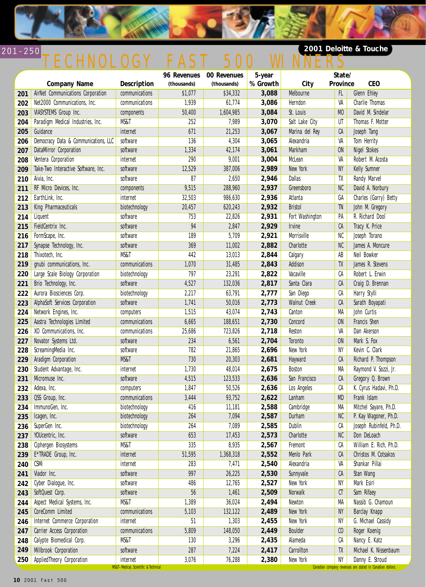

# 201-250 TECHNOLOGY FAST 500 WINNERS

### **2001 Deloitte & Touche**

|     |                                      |                                                  |             | 96 Revenues 00 Revenues | 5-year   |                 | State/         |                                                                              |
|-----|--------------------------------------|--------------------------------------------------|-------------|-------------------------|----------|-----------------|----------------|------------------------------------------------------------------------------|
|     | <b>Company Name</b>                  | Description                                      | (thousands) | (thousands)             | % Growth | City            | Province       | <b>CEO</b>                                                                   |
| 201 | AirNet Communications Corporation    | communications                                   | \$1,077     | \$34,332                | 3,088    | Melbourne       | FL             | <b>Glenn Ehley</b>                                                           |
| 202 | Net2000 Communications, Inc.         | communications                                   | 1,939       | 61,774                  | 3,086    | Herndon         | VA             | Charlie Thomas                                                               |
| 203 | VIASYSTEMS Group Inc.                | components                                       | 50,400      | 1,604,985               | 3,084    | St. Louis       | M <sub>0</sub> | David M. Sindelar                                                            |
| 204 | Paradigm Medical Industries, Inc.    | MS&T                                             | 252         | 7,989                   | 3,070    | Salt Lake City  | UT             | Thomas F. Motter                                                             |
| 205 | Guidance                             | internet                                         | 671         | 21,253                  | 3,067    | Marina del Rey  | CA             | Joseph Tang                                                                  |
| 206 | Democracy Data & Communications, LLC | software                                         | 136         | 4,304                   | 3,065    | Alexandria      | VA             | Tom Herrity                                                                  |
| 207 | DataMirror Corporation               | software                                         | 1,334       | 42,174                  | 3,061    | Markham         | <b>ON</b>      | <b>Nigel Stokes</b>                                                          |
| 208 | Ventera Corporation                  | internet                                         | 290         | 9,001                   | 3,004    | McLean          | VA             | Robert M. Acosta                                                             |
| 209 | Take-Two Interactive Software, Inc.  | software                                         | 12,529      | 387,006                 | 2,989    | New York        | NY             | Kelly Sumner                                                                 |
| 210 | Aivia, Inc.                          | software                                         | 87          | 2,650                   | 2,946    | <b>Dallas</b>   | TX             | Randy Marvel                                                                 |
| 211 | RF Micro Devices, Inc.               | components                                       | 9,515       | 288,960                 | 2,937    | Greensboro      | NC             | David A. Norbury                                                             |
| 212 | EarthLink, Inc.                      | internet                                         | 32,503      | 986,630                 | 2,936    | Atlanta         | GA             | Charles (Garry) Betty                                                        |
| 213 | King Pharmaceuticals                 | biotechnology                                    | 20,457      | 620,243                 | 2,932    | <b>Bristol</b>  | TN             | John M. Gregory                                                              |
| 214 | Liquent                              | software                                         | 753         | 22,826                  | 2,931    | Fort Washington | PA             | R. Richard Dool                                                              |
| 215 | FieldCentrix Inc.                    | software                                         | 94          | 2,847                   | 2,929    | <b>Irvine</b>   | CA             | Tracy K. Price                                                               |
| 216 | FormScape, Inc.                      | software                                         | 189         | 5,709                   | 2,921    | Morrisville     | NC             | Joseph Torano                                                                |
| 217 | Synapse Technology, Inc.             | software                                         | 369         | 11,002                  | 2,882    | Charlotte       | NC             | James A. Moncure                                                             |
| 218 | Thixotech, Inc.                      | MS&T                                             | 442         | 13,013                  | 2,844    | Calgary         | AB             | Neil Bowker                                                                  |
| 219 | gnubi communications, Inc.           | communications                                   | 1,070       | 31,485                  | 2,843    | Addison         | TX             | James R. Stevens                                                             |
| 220 | Large Scale Biology Corporation      | biotechnology                                    | 797         | 23,291                  | 2,822    | Vacaville       | СA             | Robert L. Erwin                                                              |
| 221 | Brio Technology, Inc.                | software                                         | 4,527       | 132,036                 | 2,817    | Santa Clara     | CA             | Craig D. Brennan                                                             |
| 222 | Aurora Biosciences Corp.             | biotechnology                                    | 2,217       | 63,791                  | 2,777    | San Diego       | СA             | Harry Stylli                                                                 |
| 223 | AlphaSoft Services Corporation       | software                                         | 1,741       | 50,016                  | 2,773    | Walnut Creek    | CA             | Sarath Boyapati                                                              |
| 224 | Network Engines, Inc.                | computers                                        | 1,515       | 43,074                  | 2,743    | Canton          | MA             | John Curtis                                                                  |
| 225 | Aastra Technologies Limited          | communications                                   | 6,665       | 188,651                 | 2,730    | Concord         | <b>ON</b>      | Francis Shen                                                                 |
| 226 | XO Communications, Inc.              | communications                                   | 25,686      | 723,826                 | 2,718    | Reston          | VA             | Dan Akerson                                                                  |
| 227 | Novator Systems Ltd.                 | software                                         | 234         | 6,561                   | 2,704    | Toronto         | <b>ON</b>      | Mark S. Fox                                                                  |
| 228 | ScreamingMedia Inc.                  | software                                         | 782         | 21,865                  | 2,696    | New York        | NY             | Kevin C. Clark                                                               |
| 229 | Aradigm Corporation                  | MS&T                                             | 730         | 20,303                  | 2,681    | Hayward         | CA             | Richard P. Thompson                                                          |
| 230 | Student Advantage, Inc.              | internet                                         | 1,730       | 48,014                  | 2,675    | Boston          | MA             | Raymond V. Sozzi, Jr.                                                        |
| 231 | Micromuse Inc.                       | software                                         | 4,515       | 123,533                 | 2,636    | San Francisco   | CA             | Gregory Q. Brown                                                             |
| 232 | Adexa, Inc.                          | computers                                        | 1,847       | 50,526                  | 2,636    | Los Angeles     | СA             | K. Cyrus Hadavi, Ph.D.                                                       |
| 233 | QSS Group, Inc.                      | communications                                   | 3,444       | 93,752                  | 2,622    | Lanham          | MD             | Frank Islam                                                                  |
| 234 | ImmunoGen, Inc.                      | biotechnology                                    | 416         | 11,181                  | 2,588    | Cambridge       | MA             | Mitchel Sayare, Ph.D.                                                        |
|     | 235   Icagen, Inc.                   | biotechnology                                    | 264         | 7,094                   | 2,587    | Durham          | NC             | P. Kay Wagoner, Ph.D.                                                        |
| 236 | SuperGen Inc.                        | biotechnology                                    | 264         | 7,089                   | 2,585    | Dublin          | СA             | Joseph Rubinfeld, Ph.D.                                                      |
| 237 | YOUcentric, Inc.                     | software                                         | 653         | 17,453                  | 2,573    | Charlotte       | ${\sf NC}$     | Don DeLoach                                                                  |
| 238 | Ciphergen Biosystems                 | MS&T                                             | 335         | 8,935                   | 2,567    | Fremont         | СA             | William E. Rich, Ph.D.                                                       |
| 239 | E*TRADE Group, Inc.                  | internet                                         | 51,595      | 1,368,318               | 2,552    | Menlo Park      | CA             | Christos M. Cotsakos                                                         |
| 240 | CSMi                                 | internet                                         | 283         | 7,471                   | 2,540    | Alexandria      | VA             | Shankar Pillai                                                               |
| 241 | Viador Inc.                          | software                                         | 997         | 26,225                  | 2,530    | Sunnyvale       | CA             | Stan Wang                                                                    |
| 242 | Cyber Dialogue, Inc.                 | software                                         | 486         | 12,765                  | 2,527    | New York        | NΥ             | Mark Esiri                                                                   |
| 243 | SoftQuest Corp.                      | software                                         | 56          | 1,461                   | 2,509    | Norwalk         | CT             | Sam Rifaey                                                                   |
| 244 | Aspect Medical Systems, Inc.         | MS&T                                             | 1,389       | 36,024                  | 2,494    | Newton          | MA             | Nassib G. Chamoun                                                            |
| 245 | CoreComm Limited                     | communications                                   | 5,103       | 132,122                 | 2,489    | New York        | NY.            | Barclay Knapp                                                                |
| 246 | Internet Commerce Corporation        | internet                                         | 51          | 1,303                   | 2,455    | New York        | NY             | G. Michael Cassidy                                                           |
| 247 | Carrier Access Corporation           | communications                                   | 5,809       | 148,050                 | 2,449    | <b>Boulder</b>  | C <sub>0</sub> | Roger Koenig                                                                 |
| 248 | Calypte Biomedical Corp.             | MS&T                                             | 130         | 3,296                   | 2,435    | Alameda         | CА             | Nancy E. Katz                                                                |
| 249 | Millbrook Corporation                | software                                         | 287         | 7,224                   | 2,417    | Carrollton      | TX             | Michael K. Nissenbaum                                                        |
| 250 | AppliedTheory Corporation            | internet<br>MS&T-Medical, Scientific & Technical | 3,076       | 76,288                  | 2,380    | New York        | NY             | Danny E. Stroud<br>Canadian company revenues are stated in Canadian dollars. |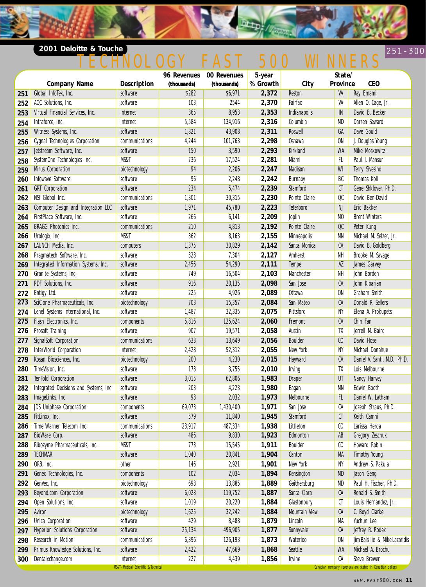#### **2001 Deloitte & Touche** 251-300

# 251 - 300 <u>TECHNOLOGY FAST 500 WINNERS</u>

**District Print** 

|     | <b>Company Name</b>                                     | <b>Description</b>                   | 96 Revenues<br>(thousands) | 00 Revenues<br>(thousands) | 5-year<br>% Growth | City                 | State/<br>Province          | <b>CEO</b>                                                |
|-----|---------------------------------------------------------|--------------------------------------|----------------------------|----------------------------|--------------------|----------------------|-----------------------------|-----------------------------------------------------------|
| 251 | Global InfoTek, Inc.                                    | software                             | \$282                      | \$6,971                    | 2,372              | Reston               | VA                          | Ray Emami                                                 |
| 252 | AOC Solutions, Inc.                                     | software                             | 103                        | 2544                       | 2,370              | Fairfax              | VA                          | Allen O. Cage, Jr.                                        |
|     | Virtual Financial Services, Inc.                        | internet                             | 365                        | 8,953                      | 2,353              | Indianapolis         | IN                          | David B. Becker                                           |
| 253 | Intraforce, Inc.                                        | internet                             | 5,584                      | 134,916                    | 2,316              | Columbia             | MD                          | Darren Seward                                             |
| 254 |                                                         | software                             | 1,821                      |                            | 2,311              | Roswell              | GA                          | Dave Gould                                                |
| 255 | Witness Systems, Inc.                                   | communications                       |                            | 43,908<br>101,763          | 2,298              | Oshawa               | ON                          | J. Douglas Young                                          |
| 256 | Cygnal Technologies Corporation                         |                                      | 4,244                      |                            |                    | Kirkland             |                             |                                                           |
| 257 | Jetstream Software, Inc.<br>SystemOne Technologies Inc. | software<br><b>MS&amp;T</b>          | 150<br>736                 | 3,590<br>17,524            | 2,293<br>2,281     | Miami                | <b>WA</b><br>FL.            | Mike Moskowitz<br>Paul I. Mansur                          |
| 258 |                                                         |                                      | 94                         |                            |                    | Madison              | WI                          | <b>Terry Sivesind</b>                                     |
| 259 | Mirus Corporation<br>Infowave Software                  | biotechnology<br>software            | 96                         | 2,206<br>2,248             | 2,247              |                      | BC                          | Thomas Koll                                               |
| 260 |                                                         |                                      |                            |                            | 2,242              | Burnaby              |                             |                                                           |
| 261 | <b>GRT</b> Corporation                                  | software                             | 234                        | 5,474                      | 2,239              | Stamford             | C1                          | Gene Shklover, Ph.D.                                      |
| 262 | NSI Global Inc.                                         | communications                       | 1,301                      | 30,315                     | 2,230              | Pointe Claire        | QC                          | David Ben-David                                           |
| 263 | Computer Design and Integration LLC                     | software                             | 1,971                      | 45,780                     | 2,223              | Teterboro            | NJ                          | Eric Bakker                                               |
| 264 | FirstPlace Software, Inc.                               | software                             | 266                        | 6,141                      | 2,209              | Joplin               | M <sub>0</sub>              | <b>Brent Winters</b>                                      |
| 265 | <b>BRAGG Photonics Inc.</b>                             | communications                       | 210                        | 4,813                      | 2,192              | Pointe Claire        | OC                          | Peter Kung                                                |
| 266 | Urologix, Inc.                                          | MS&T                                 | 362                        | 8,163                      | 2,155              | Minneapolis          | MN                          | Michael M. Selzer, Jr.                                    |
| 267 | LAUNCH Media, Inc.                                      | computers                            | 1,375                      | 30,829                     | 2,142              | Santa Monica         | CA                          | David B. Goldberg                                         |
| 268 | Pragmatech Software, Inc.                               | software                             | 328                        | 7,304                      | 2,127              | Amherst              | NΗ                          | Brooke M. Savage                                          |
| 269 | Integrated Information Systems, Inc.                    | software                             | 2,456                      | 54,290                     | 2,111              | Tempe                | AZ                          | James Garvey                                              |
| 270 | Granite Systems, Inc.                                   | software                             | 749                        | 16,504                     | 2,103              | Manchester           | NΗ                          | John Borden                                               |
| 271 | PDF Solutions, Inc.                                     | software                             | 916                        | 20,135                     | 2,098              | San Jose             | CA                          | John Kibarian                                             |
| 272 | Entigy Ltd.                                             | software                             | 225                        | 4,926                      | 2,089              | Ottawa               | <b>ON</b>                   | Graham Smith                                              |
| 273 | SciClone Pharmaceuticals, Inc.                          | biotechnology                        | 703                        | 15,357                     | 2,084              | San Mateo            | CA                          | Donald R. Sellers                                         |
| 274 | Lenel Systems International, Inc.                       | software                             | 1,487                      | 32,335                     | 2,075              | Pittsford            | NY                          | Elena A. Prokupets                                        |
| 275 | Flash Electronics, Inc.                                 | components                           | 5,816                      | 125,624                    | 2,060              | Fremont              | CA                          | Chin Fan                                                  |
| 276 | Prosoft Training                                        | software                             | 907                        | 19,571                     | 2,058              | Austin               | TX                          | Jerrell M. Baird                                          |
| 277 | SignalSoft Corporation                                  | communications                       | 633                        | 13,649                     | 2,056              | <b>Boulder</b>       | C <sub>0</sub>              | David Hose                                                |
| 278 | InterWorld Corporation                                  | internet                             | 2,428                      | 52,312                     | 2,055              | New York             | NY                          | Michael Donahue                                           |
| 279 | Kosan Biosciences, Inc.                                 | biotechnology                        | 200                        | 4,230                      | 2,015              | Hayward              | CA                          | Daniel V. Santi, M.D., Ph.D.                              |
| 280 | TimeVision, Inc.                                        | software                             | 178                        | 3,755                      | 2,010              | Irving               | TX                          | Lois Melbourne                                            |
| 281 | TenFold Corporation                                     | software                             | 3,015                      | 62,806                     | 1,983              | <b>Draper</b>        | UT                          | Nancy Harvey                                              |
| 282 | Integrated Decisions and Systems, Inc.                  | software                             | 203                        | 4,223                      | 1,980              | Eagan                | MN                          | Edwin Booth                                               |
| 283 | ImageLinks, Inc.                                        | software                             | 98                         | 2,032                      | 1,973              | Melbourne            | FL                          | Daniel W. Latham                                          |
| 284 | JDS Uniphase Corporation                                | components                           | 69,073                     | 1,430,400                  | 1,971              | San Jose             | СA                          | Jozeph Straus, Ph.D.                                      |
|     | 285 FitLinxx, Inc.                                      | software                             | 579                        | 11,840                     | 1,945              | Stamford             | CT                          | Keith Camhi                                               |
| 286 | Time Warner Telecom Inc.                                | communications                       | 23,917                     | 487,334                    | 1,938              | Littleton            | $\mathfrak{c}_0$            | Larissa Herda                                             |
| 287 | BioWare Corp.                                           | software                             | 486                        | 9,830                      | 1,923              | Edmonton             | AB                          | Gregory Zeschuk                                           |
| 288 | Ribozyme Pharmaceuticals, Inc.                          | MS&T                                 | 773                        | 15,545                     | 1,911              | Boulder              | $\boldsymbol{\mathfrak{c}}$ | Howard Robin                                              |
| 289 | <b>TECHMAR</b>                                          | software                             | 1,040                      | 20,841                     | 1,904              | Canton               | MA                          | <b>Timothy Young</b>                                      |
| 290 | ORB, Inc.                                               | other                                | 146                        | 2,921                      | 1,901              | New York             | NY                          | Andrew S. Pakula                                          |
| 291 | Genex Technologies, Inc.                                | components                           | 102                        | 2,034                      | 1,894              | Kensington           | MD                          | Jason Geng                                                |
| 292 | GenVec, Inc.                                            | biotechnology                        | 698                        | 13,885                     | 1,889              | Gaithersburg         | MD                          | Paul H. Fischer, Ph.D.                                    |
| 293 | Beyond.com Corporation                                  | software                             | 6,028                      | 119,752                    | 1,887              | Santa Clara          | CA                          | Ronald S. Smith                                           |
| 294 | Open Solutions, Inc.                                    | software                             | 1,019                      | 20,220                     | 1,884              | Glastonbury          | CT                          | Louis Hernandez, Jr.                                      |
| 295 | Aviron                                                  | biotechnology                        | 1,625                      | 32,242                     | 1,884              | <b>Mountain View</b> | CA                          | C. Boyd Clarke                                            |
| 296 | Unica Corporation                                       | software                             | 429                        | 8,488                      | 1,879              | Lincoln              | MA                          | Yuchun Lee                                                |
| 297 | <b>Hyperion Solutions Corporation</b>                   | software                             | 25,134                     | 496,905                    | 1,877              | Sunnyvale            | CA                          | Jeffrey R. Rodek                                          |
| 298 | Research in Motion                                      | communications                       | 6,396                      | 126,193                    | 1,873              | Waterloo             | ON                          | Jim Balsillie & Mike Lazaridis                            |
| 299 | Primus Knowledge Solutions, Inc.                        | software                             | 2,422                      | 47,669                     | 1,868              | Seattle              | WA                          | Michael A. Brochu                                         |
| 300 | Dentalxchange.com                                       | internet                             | 227                        | 4,439                      | 1,856              | Irvine               | СA                          | Steve Brewer                                              |
|     |                                                         | MS&T-Medical, Scientific & Technical |                            |                            |                    |                      |                             | Canadian company revenues are stated in Canadian dollars. |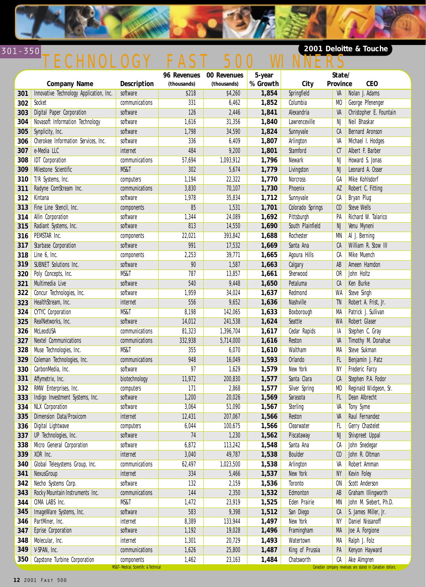

# TECHNOLOGY FAST 500 WINNERS

### **2001 Deloitte & Touche**

|     |                                         |                                                    | 96 Revenues | 00 Revenues | 5-year   |                  | State/           |                                                                          |
|-----|-----------------------------------------|----------------------------------------------------|-------------|-------------|----------|------------------|------------------|--------------------------------------------------------------------------|
|     | <b>Company Name</b>                     | <b>Description</b>                                 | (thousands) | (thousands) | % Growth | City             | Province         | <b>CEO</b>                                                               |
| 301 | Innovative Technology Application, Inc. | software                                           | \$218       | \$4,260     | 1,854    | Springfield      | VA               | Nolan J. Adams                                                           |
| 302 | Socket                                  | communications                                     | 331         | 6,462       | 1,852    | Columbia         | M <sub>0</sub>   | George Pfenenger                                                         |
| 303 | Digital Paper Corporation               | software                                           | 126         | 2,446       | 1,841    | Alexandria       | VA               | Christopher E. Fountain                                                  |
| 304 | Novasoft Information Technology         | software                                           | 1,616       | 31,356      | 1,840    | Lawrenceville    | NJ               | Neil Bhaskar                                                             |
| 305 | Synplicity, Inc.                        | software                                           | 1,798       | 34,590      | 1,824    | Sunnyvale        | СA               | <b>Bernard Aronson</b>                                                   |
| 306 | Cherokee Information Services, Inc.     | software                                           | 336         | 6,409       | 1,807    | Arlington        | VA               | Michael I. Hodges                                                        |
| 307 | e-Media LLC                             | internet                                           | 484         | 9,200       | 1,801    | Stamford         | CT               | Albert F. Barber                                                         |
| 308 | <b>IDT</b> Corporation                  | communications                                     | 57,694      | 1,093,912   | 1,796    | Newark           | NJ               | Howard S. Jonas                                                          |
| 309 | Milestone Scientific                    | MS&T                                               | 302         | 5,674       | 1,779    | Livingston       | NJ               | Leonard A. Osser                                                         |
| 310 | T/R Systems, Inc.                       | computers                                          | 1,194       | 22,322      | 1,770    | <b>Norcross</b>  | GA               | Mike Kohlsdorf                                                           |
| 311 | Radyne ComStream Inc.                   | communications                                     | 3,830       | 70,107      | 1,730    | Phoenix          | $\overline{AZ}$  | Robert C. Fitting                                                        |
| 312 | Kintana                                 | software                                           | 1,978       | 35,834      | 1,712    | Sunnyvale        | СA               | Bryan Plug                                                               |
| 313 | Fine Line Stencil, Inc.                 | components                                         | 85          | 1,531       | 1,701    | Colorado Springs | C <sub>0</sub>   | <b>Steve Wells</b>                                                       |
| 314 | Allin Corporation                       | software                                           | 1,344       | 24,089      | 1,692    | Pittsburgh       | PA               | Richard W. Talarico                                                      |
| 315 | Radiant Systems, Inc.                   | software                                           | 813         | 14,550      | 1,690    | South Plainfield | NJ               | Venu Myneni                                                              |
| 316 | PEMSTAR Inc.                            | components                                         | 22,021      | 393,842     | 1,688    | Rochester        | MN               | Al J. Berning                                                            |
| 317 | Starbase Corporation                    | software                                           | 991         | 17,532      | 1,669    | Santa Ana        | CA               | William R. Stow III                                                      |
| 318 | Line 6, Inc.                            | components                                         | 2,253       | 39,771      | 1,665    | Agoura Hills     | СA               | Mike Muench                                                              |
| 319 | SUBNET Solutions Inc.                   | software                                           | 90          | 1,587       | 1,663    | Calgary          | AB               | Ameen Hamdon                                                             |
| 320 | Poly Concepts, Inc.                     | MS&T                                               | 787         | 13,857      | 1,661    | Sherwood         | 0R               | John Holtz                                                               |
| 321 | Multimedia Live                         | software                                           | 540         | 9,448       | 1,650    | Petaluma         | CA               | Ken Burke                                                                |
| 322 | Concur Technologies, Inc.               | software                                           | 1,959       | 34,024      | 1,637    | Redmond          | WA               | Steve Singh                                                              |
| 323 | HealthStream, Inc.                      | internet                                           | 556         | 9,652       | 1,636    | Nashville        | TN               | Robert A. Frist, Jr.                                                     |
| 324 | <b>CYTYC Corporation</b>                | MS&T                                               | 8,198       | 142,065     | 1,633    | Boxborough       | MA               | Patrick J. Sullivan                                                      |
| 325 | RealNetworks, Inc.                      | software                                           | 14,012      | 241,538     | 1,624    | Seattle          | WA               | Robert Glaser                                                            |
| 326 | McLeodUSA                               | communications                                     | 81,323      | 1,396,704   | 1,617    | Cedar Rapids     | IA               | Stephen C. Gray                                                          |
| 327 | <b>Nextel Communications</b>            | communications                                     | 332,938     | 5,714,000   | 1,616    | Reston           | VA               | Timothy M. Donahue                                                       |
| 328 | Muse Technologies, Inc.                 | MS&T                                               | 355         | 6,070       | 1,610    | Waltham          | MA               | Steve Sukman                                                             |
| 329 | Coleman Technologies, Inc.              | communications                                     | 948         | 16,049      | 1,593    | Orlando          | FL               | Benjamin J. Patz                                                         |
| 330 | CarbonMedia, Inc.                       | software                                           | 97          | 1,629       | 1,579    | New York         | NΥ               | Frederic Farcy                                                           |
| 331 | Affymetrix, Inc.                        | biotechnology                                      | 11,972      | 200,830     | 1,577    | Santa Clara      | CA               | Stephen P.A. Fodor                                                       |
| 332 | RMW Enterprises, Inc.                   | computers                                          | 171         | 2,868       | 1,577    | Silver Spring    | MD               | Reginald Widgeon, Sr.                                                    |
| 333 | Indigo Investment Systems, Inc.         | software                                           | 1,200       | 20,026      | 1,569    | Sarasota         | FL               | Dean Albrecht                                                            |
| 334 | <b>NLX Corporation</b>                  | software                                           | 3,064       | 51,090      | 1,567    | Sterling         | VA               | Tony Syme                                                                |
|     | 335 Dimension Data/Proxicom             | internet                                           | 12,431      | 207,067     | 1,566    | Reston           |                  | VA Raul Fernandez                                                        |
| 336 | Digital Lightwave                       | computers                                          | 6,044       | 100,675     | 1,566    | Clearwater       | FL.              | Gerry Chastelet                                                          |
| 337 | UP Technologies, Inc.                   | software                                           | 74          | 1,230       | 1,562    | Piscataway       | NJ               | Shivpreet Uppal                                                          |
| 338 | Micro General Corporation               | software                                           | 6,872       | 113,242     | 1,548    | Santa Ana        | СA               | John Snedegar                                                            |
| 339 | XOR Inc.                                | internet                                           | 3,040       | 49,787      | 1,538    | Boulder          | $\mathfrak{c}_0$ | John R. Oltman                                                           |
| 340 | Global Telesystems Group, Inc.          | communications                                     | 62,497      | 1,023,500   | 1,538    | Arlington        | VA               | Robert Amman                                                             |
| 341 | NexusGroup                              | internet                                           | 334         | 5,466       | 1,537    | New York         | NY               | Kevin Foley                                                              |
| 342 | Necho Systems Corp.                     | software                                           | 132         | 2,159       | 1,536    | Toronto          | ON               | Scott Anderson                                                           |
| 343 | Rocky Mountain Instruments Inc.         | communications                                     | 144         | 2,350       | 1,532    | Edmonton         | AB               | Graham Illingworth                                                       |
| 344 | CIMA LABS Inc.                          | MS&T                                               | 1,472       | 23,919      | 1,525    | Eden Prairie     | MN               | John M. Siebert, Ph.D.                                                   |
| 345 | ImageWare Systems, Inc.                 | software                                           | 583         | 9,398       | 1,512    | San Diego        | СA               | S. James Miller, Jr.                                                     |
| 346 | PartMiner, Inc.                         | internet                                           | 8,389       | 133,944     | 1,497    | New York         | NY               | Daniel Nissanoff                                                         |
| 347 | Eprise Corporation                      | software                                           | 1,192       | 19,028      | 1,496    | Framingham       | MA               | Joe A. Forgione                                                          |
| 348 | Molecular, Inc.                         | internet                                           | 1,301       | 20,729      | 1,493    | Watertown        | MA               | Ralph J. Folz                                                            |
| 349 | V-SPAN, Inc.                            | communications                                     | 1,626       | 25,800      | 1,487    | King of Prussia  | PA               | Kenyon Hayward                                                           |
| 350 | Capstone Turbine Corporation            | components<br>MS&T-Medical, Scientific & Technical | 1,462       | 23,163      | 1,484    | Chatsworth       | СA               | Ake Almgren<br>Canadian company revenues are stated in Canadian dollars. |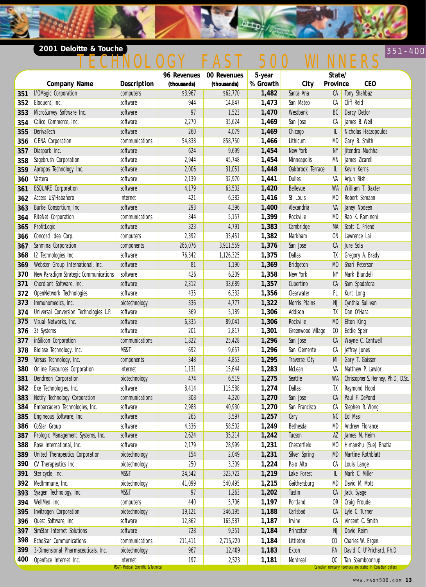#### **2001 Deloitte & Touche** 351-400 **Contract of the Contract of Contract of the Contract of Table 351-400 <b>351-400**

# 351-400 <u>TECHNOLOGY FAST 500 WINNERS</u>

**Detro!** 

|     |                                        |                                                  | 96 Revenues | 00 Revenues | 5-year   | State/<br>Province |                  |                                                                              |
|-----|----------------------------------------|--------------------------------------------------|-------------|-------------|----------|--------------------|------------------|------------------------------------------------------------------------------|
|     | <b>Company Name</b>                    | <b>Description</b>                               | (thousands) | (thousands) | % Growth | City               |                  | <b>CEO</b>                                                                   |
| 351 | I/OMagic Corporation                   | computers                                        | \$3,967     | \$62,770    | 1,482    | Santa Ana          | CA               | Tony Shahbaz                                                                 |
| 352 | Eloquent, Inc.                         | software                                         | 944         | 14,847      | 1,473    | San Mateo          | СA               | Cliff Reid                                                                   |
| 353 | MicroSurvey Software Inc.              | software                                         | 97          | 1,523       | 1,470    | Westbank           | BC               | Darcy Detlor                                                                 |
| 354 | Calico Commerce, Inc.                  | software                                         | 2,270       | 35,624      | 1,469    | San Jose           | СA               | James B. Weil                                                                |
| 355 | DerivaTech                             | software                                         | 260         | 4,079       | 1,469    | Chicago            | IL               | Nicholas Hatzopoulos                                                         |
| 356 | <b>CIENA Corporation</b>               | communications                                   | 54,838      | 858,750     | 1,466    | Lithicum           | MD               | Gary B. Smith                                                                |
| 357 | Diaspark Inc.                          | software                                         | 624         | 9,699       | 1,454    | New York           | <b>NY</b>        | Jitendra Muchhal                                                             |
| 358 | Sagebrush Corporation                  | software                                         | 2,944       | 45,748      | 1,454    | Minneapolis        | MN               | James Zicarelli                                                              |
| 359 | Apropos Technology Inc.                | software                                         | 2,006       | 31,051      | 1,448    | Oakbrook Terrace   | IL               | Kevin Kerns                                                                  |
| 360 | Vastera                                | software                                         | 2,139       | 32,970      | 1,441    | <b>Dulles</b>      | VA               | Arjun Rishi                                                                  |
| 361 | <b>BSQUARE Corporation</b>             | software                                         | 4,179       | 63,502      | 1,420    | Bellevue           | WA               | William T. Baxter                                                            |
| 362 | Access US/Habañero                     | internet                                         | 421         | 6,382       | 1,416    | St. Louis          | M <sub>0</sub>   | Robert Semaan                                                                |
| 363 | Burke Consortium, Inc.                 | software                                         | 293         | 4,396       | 1,400    | Alexandria         | VA               | Janey Nodeen                                                                 |
| 364 | RiteNet Corporation                    | communications                                   | 344         | 5,157       | 1,399    | Rockville          | MD               | Rao K. Ramineni                                                              |
| 365 | ProfitLogic                            | software                                         | 323         | 4,791       | 1,383    | Cambridge          | MA               | Scott C. Friend                                                              |
| 366 | Concord Idea Corp.                     | computers                                        | 2,392       | 35,451      | 1,382    | Markham            | 0N               | Lawrence Lai                                                                 |
| 367 | Sanmina Corporation                    | components                                       | 265,076     | 3,911,559   | 1,376    | San Jose           | CA               | Jure Sola                                                                    |
| 368 | 12 Technologies Inc.                   | software                                         | 76,342      | 1,126,325   | 1,375    | Dallas             | TX               | Gregory A. Brady                                                             |
| 369 | Webster Group International, Inc.      | software                                         | 81          | 1,190       | 1,369    | <b>Bridgeton</b>   | M <sub>0</sub>   | Shari Peterson                                                               |
| 370 | New Paradigm Strategic Communications  | software                                         | 426         | 6,209       | 1,358    | New York           | NY               | Mark Blundell                                                                |
| 371 | Chordiant Software, Inc.               | software                                         | 2,312       | 33,689      | 1,357    | Cupertino          | CA               | Sam Spadafora                                                                |
| 372 | OpenNetwork Technologies               | software                                         | 435         | 6,332       | 1,356    | Clearwater         | FL.              | Kurt Long                                                                    |
| 373 | Immunomedics, Inc.                     | biotechnology                                    | 336         | 4,777       | 1,322    | Morris Plains      | NJ               | Cynthia Sullivan                                                             |
| 374 | Universal Conversion Technologies L.P. | software                                         | 369         | 5,189       | 1,306    | Addison            | TX               | Dan O'Hara                                                                   |
| 375 | Visual Networks, Inc.                  | software                                         | 6,335       | 89,041      | 1,306    | Rockville          | <b>MD</b>        | Elton King                                                                   |
| 376 | 3t Systems                             | software                                         | 201         | 2,817       | 1,301    | Greenwood Village  | $\mathfrak{c}_0$ | Eddie Speir                                                                  |
| 377 | inSilicon Corporation                  | communications                                   | 1,822       | 25,428      | 1,296    | San Jose           | CA               | Wayne C. Cantwell                                                            |
| 378 | Biolase Technology, Inc.               | MS&T                                             | 692         | 9,657       | 1,296    | San Clemente       | СA               | Jeffrey Jones                                                                |
| 379 | Versus Technology, Inc.                | components                                       | 348         | 4,853       | 1,295    | Traverse City      | MI               | Gary T. Gaisser                                                              |
| 380 | Online Resources Corporation           | internet                                         | 1,131       | 15,644      | 1,283    | McLean             | VA               | Matthew P. Lawlor                                                            |
| 381 | Dendreon Corporation                   | biotechnology                                    | 474         | 6,519       | 1,275    | Seattle            | WA               | Christopher S. Henney, Ph.D., D.Sc.                                          |
| 382 | Exe Technologies, Inc.                 | software                                         | 8,414       | 115,588     | 1,274    | <b>Dallas</b>      | TX               | Raymond Hood                                                                 |
| 383 | Notify Technology Corporation          | communications                                   | 308         | 4,220       | 1,270    | San Jose           | CA               | Paul F. DePond                                                               |
| 384 | Embarcadero Technologies, Inc.         | software                                         | 2,988       | 40,930      | 1,270    | San Francisco      | СA               | Stephen R. Wong                                                              |
| 385 | Engineous Software, Inc.               | software                                         | 265         | 3,597       | 1,257    | Cary               | NC               | Ed Masi                                                                      |
| 386 | CoStar Group                           | software                                         | 4,336       | 58,502      | 1,249    | Bethesda           | MD               | Andrew Florance                                                              |
| 387 | Prologic Management Systems, Inc.      | software                                         | 2,624       | 35,214      | 1,242    | Tucson             | AZ               | James M. Heim                                                                |
| 388 | Rose International, Inc.               | software                                         | 2,179       | 28,999      | 1,231    | Chesterfield       | MO               | Himanshu (Sue) Bhatia                                                        |
| 389 | United Therapeutics Corporation        | biotechnology                                    | 154         | 2,049       | 1,231    | Silver Spring      | MD               | Martine Rothblatt                                                            |
| 390 | CV Therapeutics Inc.                   | biotechnology                                    | 250         | 3,309       | 1,224    | Palo Alto          | СA               | Louis Lange                                                                  |
| 391 | Stericycle, Inc.                       | MS&T                                             | 24,542      | 323,722     | 1,219    | Lake Forest        | IL               | Mark C. Miller                                                               |
| 392 | MedImmune, Inc.                        | biotechnology                                    | 41,099      | 540,495     | 1,215    | Gaithersburg       | MD               | David M. Mott                                                                |
| 393 | Syagen Technology, Inc.                | MS&T                                             | 97          | 1,263       | 1,202    | Tustin             | СA               | Jack Syage                                                                   |
| 394 | WellMed, Inc.                          | computers                                        | 440         | 5,706       | 1,197    | Portland           | 0R               | Craig Froude                                                                 |
| 395 | Invitrogen Corporation                 | biotechnology                                    | 19,121      | 246,195     | 1,188    | Carlsbad           | CA               | Lyle C. Turner                                                               |
| 396 | Quest Software, Inc.                   | software                                         | 12,862      | 165,587     | 1,187    | Irvine             | CA               | Vincent C. Smith                                                             |
| 397 | SimStar Internet Solutions             | software                                         | 728         | 9,351       | 1,184    | Princeton          | NJ               | David Reim                                                                   |
| 398 | EchoStar Communications                | communications                                   | 211,411     | 2,715,220   | 1,184    | Littleton          | CO               | Charles W. Ergen                                                             |
| 399 | 3-Dimensional Pharmaceuticals, Inc.    | biotechnology                                    | 967         | 12,409      | 1,183    | Exton              | PA               | David C. U'Prichard, Ph.D.                                                   |
| 400 | Openface Internet Inc.                 | internet<br>MS&T-Medical, Scientific & Technical | 197         | 2,523       | 1,181    | Montreal           | QC               | Tan Soamboonrup<br>Canadian company revenues are stated in Canadian dollars. |

www.fast500.com **13**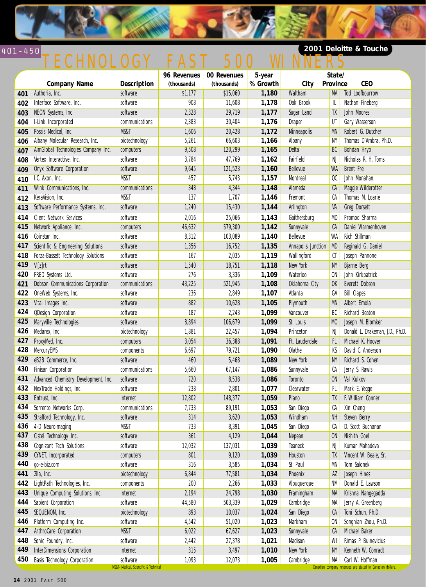

#### 401-450 **2001 Deloitte & Touche** TECHNOLOGY FAST 500

|     |                                      |                                                                 |             | 96 Revenues 00 Revenues | 5-year   |                    | State/          |                                                                              |
|-----|--------------------------------------|-----------------------------------------------------------------|-------------|-------------------------|----------|--------------------|-----------------|------------------------------------------------------------------------------|
|     | <b>Company Name</b>                  | Description                                                     | (thousands) | (thousands)             | % Growth | City               | Province        | <b>CEO</b>                                                                   |
| 401 | Authoria, Inc.                       | software                                                        | \$1,177     | \$15,060                | 1,180    | Waltham            | MA              | Tod Loofbourrow                                                              |
| 402 | Interface Software, Inc.             | software                                                        | 908         | 11,608                  | 1,178    | Oak Brook          | IL              | Nathan Fineberg                                                              |
| 403 | NEON Systems, Inc.                   | software                                                        | 2,328       | 29,719                  | 1,177    | Sugar Land         | TX              | John Moores                                                                  |
| 404 | I-Link Incorporated                  | communications                                                  | 2,383       | 30,404                  | 1,176    | Draper             | UT              | Gary Wasserson                                                               |
| 405 | Possis Medical, Inc.                 | MS&T                                                            | 1,606       | 20,428                  | 1,172    | <b>Minneapolis</b> | <b>MN</b>       | Robert G. Dutcher                                                            |
| 406 | Albany Molecular Research, Inc.      | biotechnology                                                   | 5,261       | 66,603                  | 1,166    | Albany             | NY              | Thomas D'Ambra, Ph.D.                                                        |
| 407 | AimGlobal Technologies Company Inc.  | computers                                                       | 9,508       | 120,299                 | 1,165    | <b>Delta</b>       | BC              | Bohdan Hryb                                                                  |
| 408 | Vertex Interactive, Inc.             | software                                                        | 3,784       | 47,769                  | 1,162    | Fairfield          | NJ              | Nicholas R. H. Toms                                                          |
| 409 | Onyx Software Corporation            | software                                                        | 9,645       | 121,523                 | 1,160    | Bellevue           | <b>WA</b>       | <b>Brent Frei</b>                                                            |
| 410 | I.C. Axon, Inc.                      | MS&T                                                            | 457         | 5,743                   | 1,157    | Montreal           | $\overline{00}$ | John Monahan                                                                 |
| 411 | Wink Communications, Inc.            | communications                                                  | 348         | 4,344                   | 1,148    | Alameda            | CA              | Maggie Wilderotter                                                           |
| 412 | KeraVision, Inc.                     | MS&T                                                            | 137         | 1,707                   | 1,146    | Fremont            | СA              | Thomas M. Loarie                                                             |
| 413 | Software Performance Systems, Inc.   | software                                                        | 1,240       | 15,430                  | 1,144    | Arlington          | VA              | <b>Greg Dorsett</b>                                                          |
| 414 | <b>Client Network Services</b>       | software                                                        | 2,016       | 25,066                  | 1,143    | Gaithersburg       | MD              | Promod Sharma                                                                |
| 415 | Network Appliance, Inc.              | computers                                                       | 46,632      | 579,300                 | 1,142    | Sunnyvale          | CA              | Daniel Warmenhoven                                                           |
| 416 | Coinstar Inc.                        | software                                                        | 8,312       | 103,089                 | 1,140    | Bellevue           | WA              | Rich Stillman                                                                |
| 417 | Scientific & Engineering Solutions   | software                                                        | 1,356       | 16,752                  | 1,135    | Annapolis Junction | <b>MD</b>       | Reginald G. Daniel                                                           |
| 418 | Forza-Bassett Technology Solutions   | software                                                        | 167         | 2,035                   | 1,119    | Wallingford        | $\mathfrak{C}$  | Joseph Pannone                                                               |
| 419 | Vi[z]rt                              | software                                                        | 1,540       | 18,751                  | 1,118    | New York           | NY              | <b>Bjarne Berg</b>                                                           |
| 420 | FRED Systems Ltd.                    | software                                                        | 276         | 3,336                   | 1,109    | Waterloo           | <b>ON</b>       | John Kirkpatrick                                                             |
| 421 | Dobson Communications Corporation    | communications                                                  | 43,225      | 521,945                 | 1,108    | Oklahoma City      | 0 <sup>K</sup>  | Everett Dobson                                                               |
| 422 | OneWeb Systems, Inc.                 | software                                                        | 236         | 2,849                   | 1,107    | Atlanta            | GA              | <b>Bill Clapes</b>                                                           |
| 423 | Vital Images Inc.                    | software                                                        | 882         | 10,628                  | 1,105    | Plymouth           | <b>MN</b>       | Albert Emola                                                                 |
| 424 | <b>QDesign Corporation</b>           | software                                                        | 187         | 2,243                   | 1,099    | Vancouver          | BC              | Richard Beaton                                                               |
| 425 | Maryville Technologies               | software                                                        | 8,894       | 106,679                 | 1,099    | St. Louis          | M <sub>0</sub>  | Joseph M. Blomker                                                            |
| 426 | Medarex, Inc.                        | biotechnology                                                   | 1,881       | 22,457                  | 1,094    | Princeton          | NJ              | Donald L. Drakeman, J.D., Ph.D.                                              |
| 427 | ProxyMed, Inc.                       | computers                                                       | 3,054       | 36,388                  | 1,091    | Ft. Lauderdale     | FL              | Michael K. Hoover                                                            |
| 428 | MercuryEMS                           | components                                                      | 6,697       | 79,721                  | 1,090    | Olathe             | KS              | David C. Anderson                                                            |
| 429 | eB2B Commerce, Inc.                  | software                                                        | 460         | 5,468                   | 1,089    | New York           | <b>NY</b>       | Richard S. Cohen                                                             |
| 430 | Finisar Corporation                  | communications                                                  | 5,660       | 67,147                  | 1,086    | Sunnyvale          | CA              | Jerry S. Rawls                                                               |
| 431 | Advanced Chemistry Development, Inc. | software                                                        | 720         | 8,538                   | 1,086    | Toronto            | <b>ON</b>       | Val Kulkov                                                                   |
| 432 | NexTrade Holdings, Inc.              | software                                                        | 238         | 2,801                   | 1,077    | Clearwater         | FL              | Mark E. Yegge                                                                |
| 433 | Entrust, Inc.                        | internet                                                        | 12,802      | 148,377                 | 1,059    | Plano              | TX              | F. William Conner                                                            |
| 434 | Sorrento Networks Corp.              | communications                                                  | 7,733       | 89,191                  | 1,053    | San Diego          | CA              | Xin Cheng                                                                    |
|     | 435 Strafford Technology, Inc.       | software                                                        | 314         | 3,620                   | 1,053    | Windham            | NH              | Steven Berry                                                                 |
| 436 | 4-D Neuroimaging                     | MS&T                                                            | 733         | 8,391                   | 1,045    | San Diego          | СA              | D. Scott Buchanan                                                            |
| 437 | Cistel Technology Inc.               | software                                                        | 361         | 4,129                   | 1,044    | Nepean             | <b>ON</b>       | Nishith Goel                                                                 |
| 438 | Cognizant Tech Solutions             | software                                                        | 12,032      | 137,031                 | 1,039    | Teaneck            | NJ              | Kumar Mahadeva                                                               |
| 439 | CYNET, Incorporated                  | computers                                                       | 801         | 9,120                   | 1,039    | Houston            | TX              | Vincent W. Beale, Sr.                                                        |
| 440 | go-e-biz.com                         | software                                                        | 316         | 3,585                   | 1,034    | St. Paul           | MN              | Tom Salonek                                                                  |
| 441 | Zila, Inc.                           | biotechnology                                                   | 6,844       | 77,581                  | 1,034    | Phoenix            | AZ              | Joseph Hines                                                                 |
| 442 | LightPath Technologies, Inc.         | components                                                      | 200         | 2,266                   | 1,033    | Albuquerque        | <b>NM</b>       | Donald E. Lawson                                                             |
| 443 | Unique Computing Solutions, Inc.     | internet                                                        | 2,194       | 24,798                  | 1,030    | Framingham         | MA              | Krishna Nangegadda                                                           |
| 444 | Sapient Corporation                  | software                                                        | 44,580      | 503,339                 | 1,029    | Cambridge          | MA              | Jerry A. Greenberg                                                           |
| 445 | SEQUENOM, Inc.                       | biotechnology                                                   | 893         | 10,037                  | 1,024    | San Diego          | CA              | Toni Schuh, Ph.D.                                                            |
| 446 | Platform Computing Inc.              | software                                                        | 4,542       | 51,020                  | 1,023    | Markham            | 0N              | Songnian Zhou, Ph.D.                                                         |
| 447 | ArthroCare Corporation               | MS&T                                                            | 6,022       | 67,627                  | 1,023    | Sunnyvale          | CA              | Michael Baker                                                                |
| 448 | Sonic Foundry, Inc.                  | software                                                        | 2,442       | 27,378                  | 1,021    | Madison            | WI              | Rimas P. Buinevicius                                                         |
| 449 | InterDimensions Corporation          | internet                                                        | 315         | 3,497                   | 1,010    | New York           | <b>NY</b>       | Kenneth W. Conradt                                                           |
| 450 | Basis Technology Corporation         | software<br><b>MS&amp;T-Medical, Scientific &amp; Technical</b> | 1,093       | 12,073                  | 1,005    | Cambridge          | MA              | Carl W. Hoffman<br>Canadian company revenues are stated in Canadian dollars. |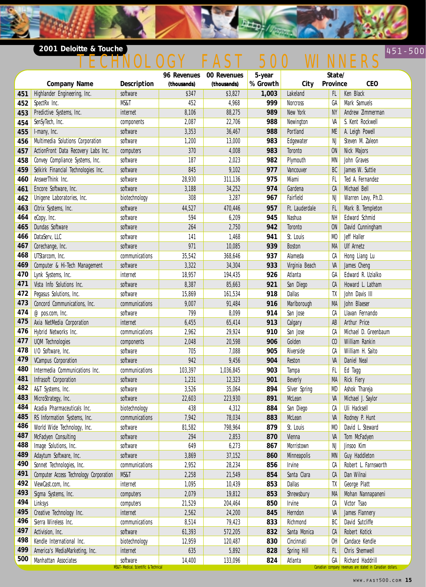### **2001 Deloitte & Touche**

# 451-500 INOLOGY FAST 500 WINNERS

**Detro** 

|     |                                        |                                                     | 96 Revenues | 00 Revenues | 5-year   |                 | State/         |                                                           |
|-----|----------------------------------------|-----------------------------------------------------|-------------|-------------|----------|-----------------|----------------|-----------------------------------------------------------|
|     | <b>Company Name</b>                    | <b>Description</b>                                  | (thousands) | (thousands) | % Growth | City            | Province       | <b>CEO</b>                                                |
| 451 | Highlander Engineering, Inc.           | software                                            | \$347       | \$3,827     | 1,003    | Lakeland        | FL.            | Ken Black                                                 |
| 452 | SpectRx Inc.                           | MS&T                                                | 452         | 4,968       | 999      | <b>Norcross</b> | GA             | Mark Samuels                                              |
| 453 | Predictive Systems, Inc.               | internet                                            | 8,106       | 88,275      | 989      | New York        | <b>NY</b>      | Andrew Zimmerman                                          |
| 454 | SenSyTech, Inc.                        | components                                          | 2,087       | 22,706      | 988      | Newington       | VA             | S. Kent Rockwell                                          |
| 455 | I-many, Inc.                           | software                                            | 3,353       | 36,467      | 988      | Portland        | ME             | A. Leigh Powell                                           |
| 456 | Multimedia Solutions Corporation       | software                                            | 1,200       | 13,000      | 983      | Edgewater       | NJ             | Steven M. Zaleon                                          |
| 457 | ActionFront Data Recovery Labs Inc.    | computers                                           | 370         | 4,008       | 983      | Toronto         | <b>ON</b>      | Nick Majors                                               |
| 458 | Convey Compliance Systems, Inc.        | software                                            | 187         | 2,023       | 982      | Plymouth        | MN             | John Graves                                               |
| 459 | Selkirk Financial Technologies Inc.    | software                                            | 845         | 9,102       | 977      | Vancouver       | BC             | James W. Suttie                                           |
| 460 | AnswerThink Inc.                       | software                                            | 28,930      | 311,136     | 975      | Miami           | FL             | Ted A. Fernandez                                          |
| 461 | Encore Software, Inc.                  | software                                            | 3,188       | 34,252      | 974      | Gardena         | CA             | Michael Bell                                              |
| 462 | Unigene Laboratories, Inc.             | biotechnology                                       | 308         | 3,287       | 967      | Fairfield       | NJ             | Warren Levy, Ph.D.                                        |
| 463 | Citrix Systems, Inc.                   | software                                            | 44,527      | 470,446     | 957      | Ft. Lauderdale  | FL             | Mark B. Templeton                                         |
| 464 | eCopy, Inc.                            | software                                            | 594         | 6,209       | 945      | Nashua          | NH             | Edward Schmid                                             |
| 465 | Dundas Software                        | software                                            | 264         | 2,750       | 942      | Toronto         | <b>ON</b>      | David Cunningham                                          |
| 466 | DataServ, LLC                          | software                                            | 141         | 1,468       | 941      | St. Louis       | M <sub>0</sub> | Jeff Haller                                               |
| 467 | Corechange, Inc.                       | software                                            | 971         | 10,085      | 939      | <b>Boston</b>   | MA             | <b>Ulf Arnetz</b>                                         |
| 468 | UTStarcom, Inc.                        | communications                                      | 35,542      | 368,646     | 937      | Alameda         | СA             | Hong Liang Lu                                             |
| 469 | Computer & Hi-Tech Management          | software                                            | 3,322       | 34,304      | 933      | Virginia Beach  | VA             | James Cheng                                               |
| 470 | Lynk Systems, Inc.                     | internet                                            | 18,957      | 194,435     | 926      | Atlanta         | GA             | Edward R. Uzialko                                         |
| 471 | Vista Info Solutions Inc.              | software                                            | 8,387       | 85,663      | 921      | San Diego       | CA             | Howard L. Latham                                          |
| 472 | Pegasus Solutions, Inc.                | software                                            | 15,869      | 161,534     | 918      | Dallas          | TX             | John Davis III                                            |
| 473 | Concord Communications, Inc.           | communications                                      | 9,007       | 91,484      | 916      | Marlborough     | MA             | John Blaeser                                              |
| 474 | @pos.com, Inc.                         | software                                            | 799         | 8,099       | 914      | San Jose        | СA             | Llavan Fernando                                           |
| 475 | Axia NetMedia Corporation              | internet                                            | 6,455       | 65,414      | 913      | Calgary         | AB             | Arthur Price                                              |
| 476 | Hybrid Networks Inc.                   | communications                                      | 2,962       | 29,924      | 910      | San Jose        | СA             | Michael D. Greenbaum                                      |
| 477 | <b>UQM</b> Technologies                | components                                          | 2,048       | 20,598      | 906      | Golden          | C <sub>0</sub> | William Rankin                                            |
| 478 | I/O Software, Inc.                     | software                                            | 705         | 7,088       | 905      | Riverside       | СA             | William H. Saito                                          |
| 479 | <b>VCampus Corporation</b>             | software                                            | 942         | 9,456       | 904      | Reston          | VA             | Daniel Neal                                               |
| 480 | Intermedia Communications Inc.         | communications                                      | 103,397     | 1,036,845   | 903      | Tampa           | FL             | Ed Tagg                                                   |
| 481 | Infrasoft Corporation                  | software                                            | 1,231       | 12,323      | 901      | <b>Beverly</b>  | MA             | <b>Rick Fiery</b>                                         |
| 482 | A&T Systems, Inc.                      | software                                            | 3,526       | 35,064      | 894      | Silver Spring   | MD             | Ashok Thareja                                             |
| 483 | MicroStrategy, Inc.                    | software                                            | 22,603      | 223,930     | 891      | McLean          | VA             | Michael J. Saylor                                         |
| 484 | Acadia Pharmaceuticals Inc.            | biotechnology                                       | 438         | 4,312       | 884      | San Diego       | CA             | Uli Hacksell                                              |
| 485 | RS Information Systems, Inc.           | communications                                      | 7,942       | 78,034      | 883      | McLean          | VA             | Rodney P. Hunt                                            |
| 486 | World Wide Technology, Inc.            | software                                            | 81,582      | 798,964     | 879      | St. Louis       | M <sub>0</sub> | David L. Steward                                          |
| 487 | McFadyen Consulting                    | software                                            | 294         | 2,853       | 870      | Vienna          | VA             | Tom McFadyen                                              |
| 488 | Image Solutions, Inc.                  | software                                            | 649         | 6,273       | 867      | Morristown      | NJ             | Jinsoo Kim                                                |
| 489 | Adaytum Software, Inc.                 | software                                            | 3,869       | 37,152      | 860      | Minneapolis     | <b>MN</b>      | Guy Haddleton                                             |
| 490 | Sonnet Technologies, Inc.              | communications                                      | 2,952       | 28,234      | 856      | Irvine          | СA             | Robert L. Farnsworth                                      |
| 491 | Computer Access Technology Corporation | MS&T                                                | 2,258       | 21,549      | 854      | Santa Clara     | CA             | Dan Wilnai                                                |
| 492 | ViewCast.com, Inc.                     | internet                                            | 1,095       | 10,439      | 853      | Dallas          | TX             | George Platt                                              |
| 493 | Sigma Systems, Inc.                    | computers                                           | 2,079       | 19,812      | 853      | Shrewsbury      | MA             | Mohan Nannapaneni                                         |
| 494 | Linksys                                | computers                                           | 21,529      | 204,464     | 850      | Irvine          | CA             | Victor Tsao                                               |
| 495 | Creative Technology Inc.               | internet                                            | 2,562       | 24,200      | 845      | Herndon         | VA             | James Flannery                                            |
| 496 | Sierra Wireless Inc.                   | communications                                      | 8,514       | 79,423      | 833      | Richmond        | BC             | David Sutcliffe                                           |
| 497 | Activision, Inc.                       | software                                            | 61,393      | 572,205     | 832      | Santa Monica    | CA             | Robert Kotick                                             |
| 498 | Kendle International Inc.              | biotechnology                                       | 12,959      | 120,487     | 830      | Cincinnati      | OH             | Candace Kendle                                            |
| 499 | America's MediaMarketing, Inc.         | internet                                            | 635         | 5,892       | 828      | Spring Hill     | FL             | Chris Shemwell                                            |
| 500 | Manhattan Associates                   | software                                            | 14,400      | 133,096     | 824      | Atlanta         | GA             | Richard Haddrill                                          |
|     |                                        | <b>MS&amp;T-Medical, Scientific &amp; Technical</b> |             |             |          |                 |                | Canadian company revenues are stated in Canadian dollars. |